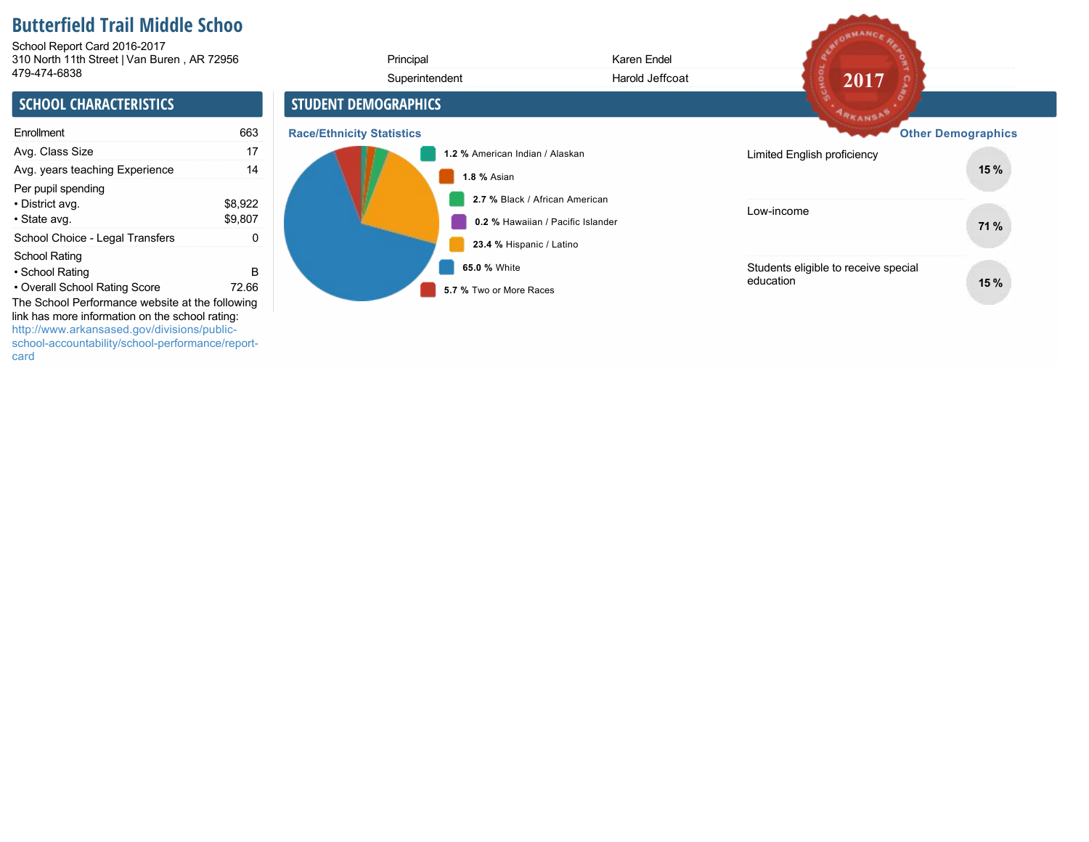# **Butterfield Trail Middle Schoo**

310 North 11th Street | Van Buren , AR 72956 School Report Card 2016-2017

| 310 North 11th Street   Van Buren, AR 72956<br>479-474-6838                                                                                                                                           |                    | Principal<br>Superintendent             | Karen Endel<br>Harold Jeffcoat    | $20\overline{17}$                                 |                           |
|-------------------------------------------------------------------------------------------------------------------------------------------------------------------------------------------------------|--------------------|-----------------------------------------|-----------------------------------|---------------------------------------------------|---------------------------|
| <b>SCHOOL CHARACTERISTICS</b>                                                                                                                                                                         |                    | <b>STUDENT DEMOGRAPHICS</b>             |                                   | <b>ARKANSA</b>                                    |                           |
| Enrollment                                                                                                                                                                                            | 663                | <b>Race/Ethnicity Statistics</b>        |                                   |                                                   | <b>Other Demographics</b> |
| Avg. Class Size                                                                                                                                                                                       | 17                 | 1.2 % American Indian / Alaskan         |                                   | Limited English proficiency                       |                           |
| Avg. years teaching Experience                                                                                                                                                                        | 14                 | <b>1.8 % Asian</b>                      |                                   |                                                   | 15 %                      |
| Per pupil spending<br>• District avg.<br>• State avg.                                                                                                                                                 | \$8,922<br>\$9,807 | 2.7 % Black / African American          | 0.2 % Hawaiian / Pacific Islander | Low-income                                        | 71 %                      |
| School Choice - Legal Transfers                                                                                                                                                                       | 0                  | 23.4 % Hispanic / Latino                |                                   |                                                   |                           |
| School Rating<br>• School Rating<br>• Overall School Rating Score                                                                                                                                     | B<br>72.66         | 65.0 % White<br>5.7 % Two or More Races |                                   | Students eligible to receive special<br>education | 15%                       |
| The School Performance website at the following<br>link has more information on the school rating:<br>http://www.arkansased.gov/divisions/public-<br>school-accountability/school-performance/report- |                    |                                         |                                   |                                                   |                           |

AFORMANCE RE

card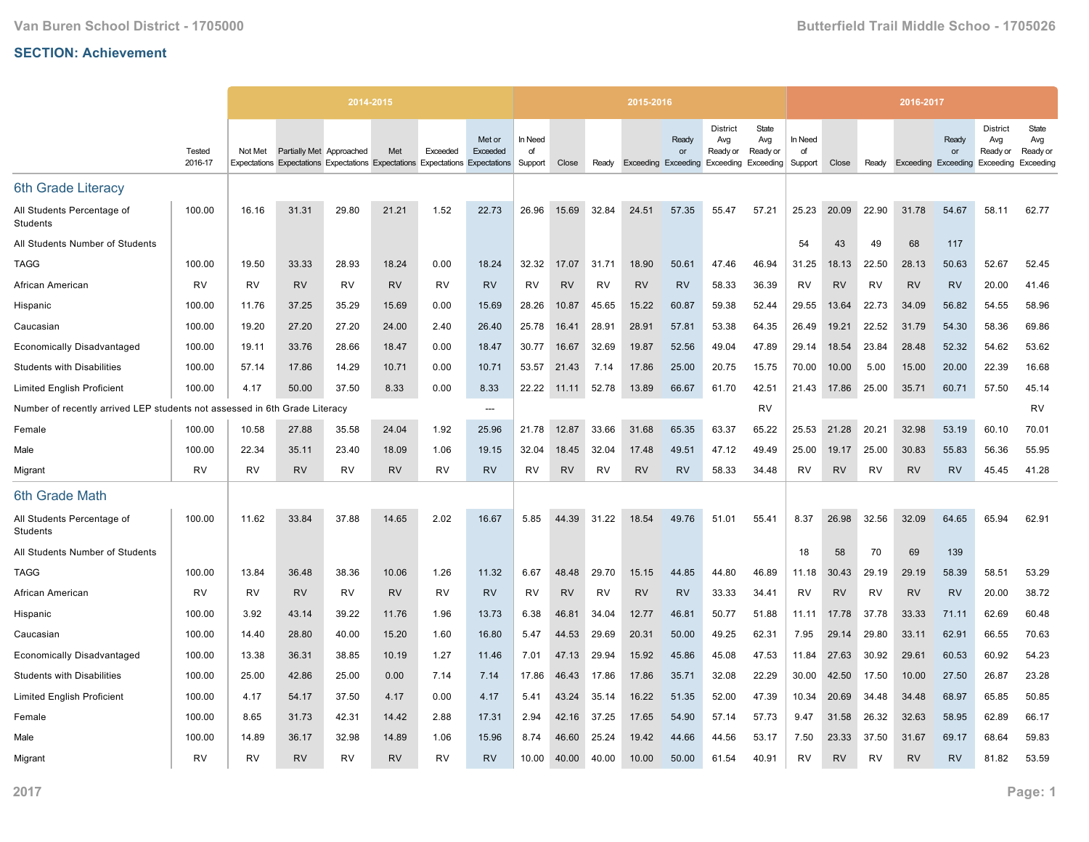|                                                             |                   |           | 2014-2015                |                                                                               |           |           |                    |                          |           |           | 2015-2016 |             |                                                                               |                          |                          |           |           | 2016-2017                  |             |                                                 |                                       |
|-------------------------------------------------------------|-------------------|-----------|--------------------------|-------------------------------------------------------------------------------|-----------|-----------|--------------------|--------------------------|-----------|-----------|-----------|-------------|-------------------------------------------------------------------------------|--------------------------|--------------------------|-----------|-----------|----------------------------|-------------|-------------------------------------------------|---------------------------------------|
|                                                             | Tested<br>2016-17 | Not Met   | Partially Met Approached | Expectations Expectations Expectations Expectations Expectations Expectations | Met       | Exceeded  | Met or<br>Exceeded | In Need<br>of<br>Support | Close     | Ready     |           | Ready<br>or | <b>District</b><br>Avg<br>Ready or<br>Exceeding Exceeding Exceeding Exceeding | State<br>Avg<br>Ready or | In Need<br>of<br>Support | Close     | Ready     | <b>Exceeding Exceeding</b> | Ready<br>or | <b>District</b><br>Avg<br>Ready or<br>Exceeding | State<br>Avg<br>Ready or<br>Exceeding |
| 6th Grade Literacy                                          |                   |           |                          |                                                                               |           |           |                    |                          |           |           |           |             |                                                                               |                          |                          |           |           |                            |             |                                                 |                                       |
| All Students Percentage of<br>Students                      | 100.00            | 16.16     | 31.31                    | 29.80                                                                         | 21.21     | 1.52      | 22.73              | 26.96                    | 15.69     | 32.84     | 24.51     | 57.35       | 55.47                                                                         | 57.21                    | 25.23                    | 20.09     | 22.90     | 31.78                      | 54.67       | 58.11                                           | 62.77                                 |
| All Students Number of Students                             |                   |           |                          |                                                                               |           |           |                    |                          |           |           |           |             |                                                                               |                          | 54                       | 43        | 49        | 68                         | 117         |                                                 |                                       |
| TAGG                                                        | 100.00            | 19.50     | 33.33                    | 28.93                                                                         | 18.24     | 0.00      | 18.24              | 32.32                    | 17.07     | 31.71     | 18.90     | 50.61       | 47.46                                                                         | 46.94                    | 31.25                    | 18.13     | 22.50     | 28.13                      | 50.63       | 52.67                                           | 52.45                                 |
| African American                                            | RV                | <b>RV</b> | <b>RV</b>                | <b>RV</b>                                                                     | <b>RV</b> | <b>RV</b> | <b>RV</b>          | <b>RV</b>                | <b>RV</b> | <b>RV</b> | <b>RV</b> | <b>RV</b>   | 58.33                                                                         | 36.39                    | <b>RV</b>                | <b>RV</b> | <b>RV</b> | <b>RV</b>                  | <b>RV</b>   | 20.00                                           | 41.46                                 |
| Hispanic                                                    | 100.00            | 11.76     | 37.25                    | 35.29                                                                         | 15.69     | 0.00      | 15.69              | 28.26                    | 10.87     | 45.65     | 15.22     | 60.87       | 59.38                                                                         | 52.44                    | 29.55                    | 13.64     | 22.73     | 34.09                      | 56.82       | 54.55                                           | 58.96                                 |
| Caucasian                                                   | 100.00            | 19.20     | 27.20                    | 27.20                                                                         | 24.00     | 2.40      | 26.40              | 25.78                    | 16.41     | 28.91     | 28.91     | 57.81       | 53.38                                                                         | 64.35                    | 26.49                    | 19.21     | 22.52     | 31.79                      | 54.30       | 58.36                                           | 69.86                                 |
| <b>Economically Disadvantaged</b>                           | 100.00            | 19.11     | 33.76                    | 28.66                                                                         | 18.47     | 0.00      | 18.47              | 30.77                    | 16.67     | 32.69     | 19.87     | 52.56       | 49.04                                                                         | 47.89                    | 29.14                    | 18.54     | 23.84     | 28.48                      | 52.32       | 54.62                                           | 53.62                                 |
| <b>Students with Disabilities</b>                           | 100.00            | 57.14     | 17.86                    | 14.29                                                                         | 10.71     | 0.00      | 10.71              | 53.57                    | 21.43     | 7.14      | 17.86     | 25.00       | 20.75                                                                         | 15.75                    | 70.00                    | 10.00     | 5.00      | 15.00                      | 20.00       | 22.39                                           | 16.68                                 |
| <b>Limited English Proficient</b>                           | 100.00            | 4.17      | 50.00                    | 37.50                                                                         | 8.33      | 0.00      | 8.33               | 22.22                    | 11.11     | 52.78     | 13.89     | 66.67       | 61.70                                                                         | 42.51                    | 21.43                    | 17.86     | 25.00     | 35.71                      | 60.71       | 57.50                                           | 45.14                                 |
| Number of recently arrived LEP students not assessed in 6th |                   |           | Grade Literacy           |                                                                               |           |           | ---                |                          |           |           |           |             |                                                                               | RV                       |                          |           |           |                            |             |                                                 | RV                                    |
| Female                                                      | 100.00            | 10.58     | 27.88                    | 35.58                                                                         | 24.04     | 1.92      | 25.96              | 21.78                    | 12.87     | 33.66     | 31.68     | 65.35       | 63.37                                                                         | 65.22                    | 25.53                    | 21.28     | 20.21     | 32.98                      | 53.19       | 60.10                                           | 70.01                                 |
| Male                                                        | 100.00            | 22.34     | 35.11                    | 23.40                                                                         | 18.09     | 1.06      | 19.15              | 32.04                    | 18.45     | 32.04     | 17.48     | 49.51       | 47.12                                                                         | 49.49                    | 25.00                    | 19.17     | 25.00     | 30.83                      | 55.83       | 56.36                                           | 55.95                                 |
| Migrant                                                     | RV                | <b>RV</b> | <b>RV</b>                | <b>RV</b>                                                                     | <b>RV</b> | <b>RV</b> | <b>RV</b>          | <b>RV</b>                | <b>RV</b> | <b>RV</b> | <b>RV</b> | <b>RV</b>   | 58.33                                                                         | 34.48                    | RV                       | <b>RV</b> | <b>RV</b> | <b>RV</b>                  | <b>RV</b>   | 45.45                                           | 41.28                                 |
| 6th Grade Math                                              |                   |           |                          |                                                                               |           |           |                    |                          |           |           |           |             |                                                                               |                          |                          |           |           |                            |             |                                                 |                                       |
| All Students Percentage of<br>Students                      | 100.00            | 11.62     | 33.84                    | 37.88                                                                         | 14.65     | 2.02      | 16.67              | 5.85                     | 44.39     | 31.22     | 18.54     | 49.76       | 51.01                                                                         | 55.41                    | 8.37                     | 26.98     | 32.56     | 32.09                      | 64.65       | 65.94                                           | 62.91                                 |
| All Students Number of Students                             |                   |           |                          |                                                                               |           |           |                    |                          |           |           |           |             |                                                                               |                          | 18                       | 58        | 70        | 69                         | 139         |                                                 |                                       |
| TAGG                                                        | 100.00            | 13.84     | 36.48                    | 38.36                                                                         | 10.06     | 1.26      | 11.32              | 6.67                     | 48.48     | 29.70     | 15.15     | 44.85       | 44.80                                                                         | 46.89                    | 11.18                    | 30.43     | 29.19     | 29.19                      | 58.39       | 58.51                                           | 53.29                                 |
| African American                                            | <b>RV</b>         | <b>RV</b> | <b>RV</b>                | <b>RV</b>                                                                     | <b>RV</b> | <b>RV</b> | <b>RV</b>          | <b>RV</b>                | <b>RV</b> | <b>RV</b> | <b>RV</b> | <b>RV</b>   | 33.33                                                                         | 34.41                    | RV                       | <b>RV</b> | <b>RV</b> | <b>RV</b>                  | <b>RV</b>   | 20.00                                           | 38.72                                 |
| Hispanic                                                    | 100.00            | 3.92      | 43.14                    | 39.22                                                                         | 11.76     | 1.96      | 13.73              | 6.38                     | 46.81     | 34.04     | 12.77     | 46.81       | 50.77                                                                         | 51.88                    | 11.11                    | 17.78     | 37.78     | 33.33                      | 71.11       | 62.69                                           | 60.48                                 |
| Caucasian                                                   | 100.00            | 14.40     | 28.80                    | 40.00                                                                         | 15.20     | 1.60      | 16.80              | 5.47                     | 44.53     | 29.69     | 20.31     | 50.00       | 49.25                                                                         | 62.31                    | 7.95                     | 29.14     | 29.80     | 33.11                      | 62.91       | 66.55                                           | 70.63                                 |
| <b>Economically Disadvantaged</b>                           | 100.00            | 13.38     | 36.31                    | 38.85                                                                         | 10.19     | 1.27      | 11.46              | 7.01                     | 47.13     | 29.94     | 15.92     | 45.86       | 45.08                                                                         | 47.53                    | 11.84                    | 27.63     | 30.92     | 29.61                      | 60.53       | 60.92                                           | 54.23                                 |
| <b>Students with Disabilities</b>                           | 100.00            | 25.00     | 42.86                    | 25.00                                                                         | 0.00      | 7.14      | 7.14               | 17.86                    | 46.43     | 17.86     | 17.86     | 35.71       | 32.08                                                                         | 22.29                    | 30.00                    | 42.50     | 17.50     | 10.00                      | 27.50       | 26.87                                           | 23.28                                 |
| <b>Limited English Proficient</b>                           | 100.00            | 4.17      | 54.17                    | 37.50                                                                         | 4.17      | 0.00      | 4.17               | 5.41                     | 43.24     | 35.14     | 16.22     | 51.35       | 52.00                                                                         | 47.39                    | 10.34                    | 20.69     | 34.48     | 34.48                      | 68.97       | 65.85                                           | 50.85                                 |
| Female                                                      | 100.00            | 8.65      | 31.73                    | 42.31                                                                         | 14.42     | 2.88      | 17.31              | 2.94                     | 42.16     | 37.25     | 17.65     | 54.90       | 57.14                                                                         | 57.73                    | 9.47                     | 31.58     | 26.32     | 32.63                      | 58.95       | 62.89                                           | 66.17                                 |
| Male                                                        | 100.00            | 14.89     | 36.17                    | 32.98                                                                         | 14.89     | 1.06      | 15.96              | 8.74                     | 46.60     | 25.24     | 19.42     | 44.66       | 44.56                                                                         | 53.17                    | 7.50                     | 23.33     | 37.50     | 31.67                      | 69.17       | 68.64                                           | 59.83                                 |
| Migrant                                                     | <b>RV</b>         | <b>RV</b> | <b>RV</b>                | <b>RV</b>                                                                     | <b>RV</b> | <b>RV</b> | <b>RV</b>          | 10.00                    | 40.00     | 40.00     | 10.00     | 50.00       | 61.54                                                                         | 40.91                    | <b>RV</b>                | <b>RV</b> | RV        | <b>RV</b>                  | <b>RV</b>   | 81.82                                           | 53.59                                 |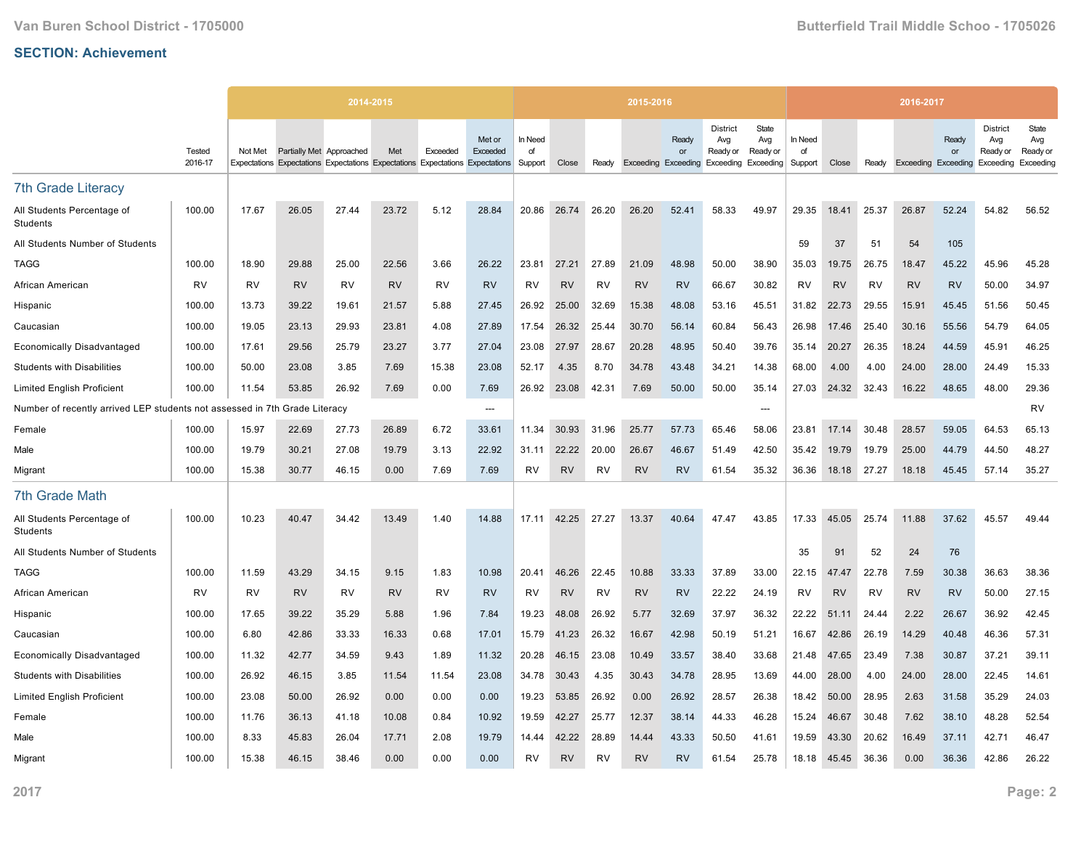|                                                             |                   |           | 2014-2015                |                                                                               |           |           |                    |                          |           |           | 2015-2016 |                                                        |                                    |                          |                          |           |           | 2016-2017                  |             |                                                 |                                       |
|-------------------------------------------------------------|-------------------|-----------|--------------------------|-------------------------------------------------------------------------------|-----------|-----------|--------------------|--------------------------|-----------|-----------|-----------|--------------------------------------------------------|------------------------------------|--------------------------|--------------------------|-----------|-----------|----------------------------|-------------|-------------------------------------------------|---------------------------------------|
|                                                             | Tested<br>2016-17 | Not Met   | Partially Met Approached | Expectations Expectations Expectations Expectations Expectations Expectations | Met       | Exceeded  | Met or<br>Exceeded | In Need<br>of<br>Support | Close     | Ready     |           | Ready<br>or<br>Exceeding Exceeding Exceeding Exceeding | <b>District</b><br>Avg<br>Ready or | State<br>Avg<br>Ready or | In Need<br>of<br>Support | Close     | Ready     | <b>Exceeding Exceeding</b> | Ready<br>or | <b>District</b><br>Avg<br>Ready or<br>Exceeding | State<br>Avg<br>Ready or<br>Exceeding |
| <b>7th Grade Literacy</b>                                   |                   |           |                          |                                                                               |           |           |                    |                          |           |           |           |                                                        |                                    |                          |                          |           |           |                            |             |                                                 |                                       |
| All Students Percentage of<br>Students                      | 100.00            | 17.67     | 26.05                    | 27.44                                                                         | 23.72     | 5.12      | 28.84              | 20.86                    | 26.74     | 26.20     | 26.20     | 52.41                                                  | 58.33                              | 49.97                    | 29.35                    | 18.41     | 25.37     | 26.87                      | 52.24       | 54.82                                           | 56.52                                 |
| All Students Number of Students                             |                   |           |                          |                                                                               |           |           |                    |                          |           |           |           |                                                        |                                    |                          | 59                       | 37        | 51        | 54                         | 105         |                                                 |                                       |
| TAGG                                                        | 100.00            | 18.90     | 29.88                    | 25.00                                                                         | 22.56     | 3.66      | 26.22              | 23.81                    | 27.21     | 27.89     | 21.09     | 48.98                                                  | 50.00                              | 38.90                    | 35.03                    | 19.75     | 26.75     | 18.47                      | 45.22       | 45.96                                           | 45.28                                 |
| African American                                            | RV                | <b>RV</b> | <b>RV</b>                | RV                                                                            | <b>RV</b> | <b>RV</b> | <b>RV</b>          | <b>RV</b>                | <b>RV</b> | <b>RV</b> | <b>RV</b> | <b>RV</b>                                              | 66.67                              | 30.82                    | RV                       | <b>RV</b> | <b>RV</b> | <b>RV</b>                  | <b>RV</b>   | 50.00                                           | 34.97                                 |
| Hispanic                                                    | 100.00            | 13.73     | 39.22                    | 19.61                                                                         | 21.57     | 5.88      | 27.45              | 26.92                    | 25.00     | 32.69     | 15.38     | 48.08                                                  | 53.16                              | 45.51                    | 31.82                    | 22.73     | 29.55     | 15.91                      | 45.45       | 51.56                                           | 50.45                                 |
| Caucasian                                                   | 100.00            | 19.05     | 23.13                    | 29.93                                                                         | 23.81     | 4.08      | 27.89              | 17.54                    | 26.32     | 25.44     | 30.70     | 56.14                                                  | 60.84                              | 56.43                    | 26.98                    | 17.46     | 25.40     | 30.16                      | 55.56       | 54.79                                           | 64.05                                 |
| <b>Economically Disadvantaged</b>                           | 100.00            | 17.61     | 29.56                    | 25.79                                                                         | 23.27     | 3.77      | 27.04              | 23.08                    | 27.97     | 28.67     | 20.28     | 48.95                                                  | 50.40                              | 39.76                    | 35.14                    | 20.27     | 26.35     | 18.24                      | 44.59       | 45.91                                           | 46.25                                 |
| <b>Students with Disabilities</b>                           | 100.00            | 50.00     | 23.08                    | 3.85                                                                          | 7.69      | 15.38     | 23.08              | 52.17                    | 4.35      | 8.70      | 34.78     | 43.48                                                  | 34.21                              | 14.38                    | 68.00                    | 4.00      | 4.00      | 24.00                      | 28.00       | 24.49                                           | 15.33                                 |
| <b>Limited English Proficient</b>                           | 100.00            | 11.54     | 53.85                    | 26.92                                                                         | 7.69      | 0.00      | 7.69               | 26.92                    | 23.08     | 42.31     | 7.69      | 50.00                                                  | 50.00                              | 35.14                    | 27.03                    | 24.32     | 32.43     | 16.22                      | 48.65       | 48.00                                           | 29.36                                 |
| Number of recently arrived LEP students not assessed in 7th |                   |           | Grade Literacy           |                                                                               |           |           | $\overline{a}$     |                          |           |           |           |                                                        |                                    | ---                      |                          |           |           |                            |             |                                                 | RV                                    |
| Female                                                      | 100.00            | 15.97     | 22.69                    | 27.73                                                                         | 26.89     | 6.72      | 33.61              | 11.34                    | 30.93     | 31.96     | 25.77     | 57.73                                                  | 65.46                              | 58.06                    | 23.81                    | 17.14     | 30.48     | 28.57                      | 59.05       | 64.53                                           | 65.13                                 |
| Male                                                        | 100.00            | 19.79     | 30.21                    | 27.08                                                                         | 19.79     | 3.13      | 22.92              | 31.11                    | 22.22     | 20.00     | 26.67     | 46.67                                                  | 51.49                              | 42.50                    | 35.42                    | 19.79     | 19.79     | 25.00                      | 44.79       | 44.50                                           | 48.27                                 |
| Migrant                                                     | 100.00            | 15.38     | 30.77                    | 46.15                                                                         | 0.00      | 7.69      | 7.69               | <b>RV</b>                | <b>RV</b> | <b>RV</b> | <b>RV</b> | <b>RV</b>                                              | 61.54                              | 35.32                    | 36.36                    | 18.18     | 27.27     | 18.18                      | 45.45       | 57.14                                           | 35.27                                 |
| <b>7th Grade Math</b>                                       |                   |           |                          |                                                                               |           |           |                    |                          |           |           |           |                                                        |                                    |                          |                          |           |           |                            |             |                                                 |                                       |
| All Students Percentage of<br>Students                      | 100.00            | 10.23     | 40.47                    | 34.42                                                                         | 13.49     | 1.40      | 14.88              | 17.11                    | 42.25     | 27.27     | 13.37     | 40.64                                                  | 47.47                              | 43.85                    | 17.33                    | 45.05     | 25.74     | 11.88                      | 37.62       | 45.57                                           | 49.44                                 |
| All Students Number of Students                             |                   |           |                          |                                                                               |           |           |                    |                          |           |           |           |                                                        |                                    |                          | 35                       | 91        | 52        | 24                         | 76          |                                                 |                                       |
| TAGG                                                        | 100.00            | 11.59     | 43.29                    | 34.15                                                                         | 9.15      | 1.83      | 10.98              | 20.41                    | 46.26     | 22.45     | 10.88     | 33.33                                                  | 37.89                              | 33.00                    | 22.15                    | 47.47     | 22.78     | 7.59                       | 30.38       | 36.63                                           | 38.36                                 |
| African American                                            | <b>RV</b>         | <b>RV</b> | <b>RV</b>                | <b>RV</b>                                                                     | <b>RV</b> | <b>RV</b> | <b>RV</b>          | <b>RV</b>                | <b>RV</b> | <b>RV</b> | <b>RV</b> | <b>RV</b>                                              | 22.22                              | 24.19                    | RV                       | <b>RV</b> | <b>RV</b> | <b>RV</b>                  | <b>RV</b>   | 50.00                                           | 27.15                                 |
| Hispanic                                                    | 100.00            | 17.65     | 39.22                    | 35.29                                                                         | 5.88      | 1.96      | 7.84               | 19.23                    | 48.08     | 26.92     | 5.77      | 32.69                                                  | 37.97                              | 36.32                    | 22.22                    | 51.11     | 24.44     | 2.22                       | 26.67       | 36.92                                           | 42.45                                 |
| Caucasian                                                   | 100.00            | 6.80      | 42.86                    | 33.33                                                                         | 16.33     | 0.68      | 17.01              | 15.79                    | 41.23     | 26.32     | 16.67     | 42.98                                                  | 50.19                              | 51.21                    | 16.67                    | 42.86     | 26.19     | 14.29                      | 40.48       | 46.36                                           | 57.31                                 |
| <b>Economically Disadvantaged</b>                           | 100.00            | 11.32     | 42.77                    | 34.59                                                                         | 9.43      | 1.89      | 11.32              | 20.28                    | 46.15     | 23.08     | 10.49     | 33.57                                                  | 38.40                              | 33.68                    | 21.48                    | 47.65     | 23.49     | 7.38                       | 30.87       | 37.21                                           | 39.11                                 |
| <b>Students with Disabilities</b>                           | 100.00            | 26.92     | 46.15                    | 3.85                                                                          | 11.54     | 11.54     | 23.08              | 34.78                    | 30.43     | 4.35      | 30.43     | 34.78                                                  | 28.95                              | 13.69                    | 44.00                    | 28.00     | 4.00      | 24.00                      | 28.00       | 22.45                                           | 14.61                                 |
| <b>Limited English Proficient</b>                           | 100.00            | 23.08     | 50.00                    | 26.92                                                                         | 0.00      | 0.00      | 0.00               | 19.23                    | 53.85     | 26.92     | 0.00      | 26.92                                                  | 28.57                              | 26.38                    | 18.42                    | 50.00     | 28.95     | 2.63                       | 31.58       | 35.29                                           | 24.03                                 |
| Female                                                      | 100.00            | 11.76     | 36.13                    | 41.18                                                                         | 10.08     | 0.84      | 10.92              | 19.59                    | 42.27     | 25.77     | 12.37     | 38.14                                                  | 44.33                              | 46.28                    | 15.24                    | 46.67     | 30.48     | 7.62                       | 38.10       | 48.28                                           | 52.54                                 |
| Male                                                        | 100.00            | 8.33      | 45.83                    | 26.04                                                                         | 17.71     | 2.08      | 19.79              | 14.44                    | 42.22     | 28.89     | 14.44     | 43.33                                                  | 50.50                              | 41.61                    | 19.59                    | 43.30     | 20.62     | 16.49                      | 37.11       | 42.71                                           | 46.47                                 |
| Migrant                                                     | 100.00            | 15.38     | 46.15                    | 38.46                                                                         | 0.00      | 0.00      | 0.00               | <b>RV</b>                | <b>RV</b> | <b>RV</b> | <b>RV</b> | <b>RV</b>                                              | 61.54                              | 25.78                    | 18.18                    | 45.45     | 36.36     | 0.00                       | 36.36       | 42.86                                           | 26.22                                 |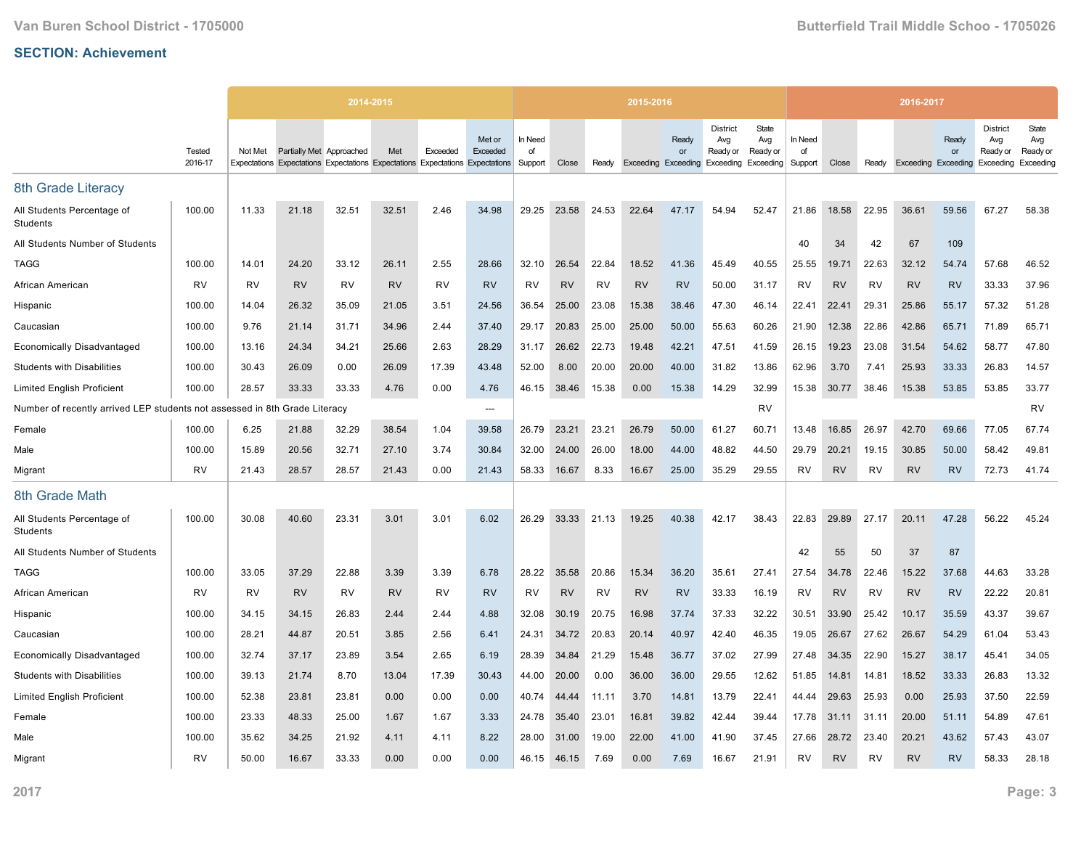|                                                             |                   |           | 2014-2015                |                                                                               |           |           |                    |                          |           |           | 2015-2016 |             |                                                                               |                          |                          |           |           | 2016-2017                  |             |                                                 |                                       |
|-------------------------------------------------------------|-------------------|-----------|--------------------------|-------------------------------------------------------------------------------|-----------|-----------|--------------------|--------------------------|-----------|-----------|-----------|-------------|-------------------------------------------------------------------------------|--------------------------|--------------------------|-----------|-----------|----------------------------|-------------|-------------------------------------------------|---------------------------------------|
|                                                             | Tested<br>2016-17 | Not Met   | Partially Met Approached | Expectations Expectations Expectations Expectations Expectations Expectations | Met       | Exceeded  | Met or<br>Exceeded | In Need<br>of<br>Support | Close     | Ready     |           | Ready<br>or | <b>District</b><br>Avg<br>Ready or<br>Exceeding Exceeding Exceeding Exceeding | State<br>Avg<br>Ready or | In Need<br>of<br>Support | Close     | Ready     | <b>Exceeding Exceeding</b> | Ready<br>or | <b>District</b><br>Avg<br>Ready or<br>Exceeding | State<br>Avg<br>Ready or<br>Exceeding |
| 8th Grade Literacy                                          |                   |           |                          |                                                                               |           |           |                    |                          |           |           |           |             |                                                                               |                          |                          |           |           |                            |             |                                                 |                                       |
| All Students Percentage of<br>Students                      | 100.00            | 11.33     | 21.18                    | 32.51                                                                         | 32.51     | 2.46      | 34.98              | 29.25                    | 23.58     | 24.53     | 22.64     | 47.17       | 54.94                                                                         | 52.47                    | 21.86                    | 18.58     | 22.95     | 36.61                      | 59.56       | 67.27                                           | 58.38                                 |
| All Students Number of Students                             |                   |           |                          |                                                                               |           |           |                    |                          |           |           |           |             |                                                                               |                          | 40                       | 34        | 42        | 67                         | 109         |                                                 |                                       |
| TAGG                                                        | 100.00            | 14.01     | 24.20                    | 33.12                                                                         | 26.11     | 2.55      | 28.66              | 32.10                    | 26.54     | 22.84     | 18.52     | 41.36       | 45.49                                                                         | 40.55                    | 25.55                    | 19.71     | 22.63     | 32.12                      | 54.74       | 57.68                                           | 46.52                                 |
| African American                                            | RV                | <b>RV</b> | <b>RV</b>                | RV                                                                            | <b>RV</b> | <b>RV</b> | <b>RV</b>          | <b>RV</b>                | <b>RV</b> | <b>RV</b> | <b>RV</b> | <b>RV</b>   | 50.00                                                                         | 31.17                    | RV                       | <b>RV</b> | <b>RV</b> | <b>RV</b>                  | <b>RV</b>   | 33.33                                           | 37.96                                 |
| Hispanic                                                    | 100.00            | 14.04     | 26.32                    | 35.09                                                                         | 21.05     | 3.51      | 24.56              | 36.54                    | 25.00     | 23.08     | 15.38     | 38.46       | 47.30                                                                         | 46.14                    | 22.41                    | 22.41     | 29.31     | 25.86                      | 55.17       | 57.32                                           | 51.28                                 |
| Caucasian                                                   | 100.00            | 9.76      | 21.14                    | 31.71                                                                         | 34.96     | 2.44      | 37.40              | 29.17                    | 20.83     | 25.00     | 25.00     | 50.00       | 55.63                                                                         | 60.26                    | 21.90                    | 12.38     | 22.86     | 42.86                      | 65.71       | 71.89                                           | 65.71                                 |
| <b>Economically Disadvantaged</b>                           | 100.00            | 13.16     | 24.34                    | 34.21                                                                         | 25.66     | 2.63      | 28.29              | 31.17                    | 26.62     | 22.73     | 19.48     | 42.21       | 47.51                                                                         | 41.59                    | 26.15                    | 19.23     | 23.08     | 31.54                      | 54.62       | 58.77                                           | 47.80                                 |
| <b>Students with Disabilities</b>                           | 100.00            | 30.43     | 26.09                    | 0.00                                                                          | 26.09     | 17.39     | 43.48              | 52.00                    | 8.00      | 20.00     | 20.00     | 40.00       | 31.82                                                                         | 13.86                    | 62.96                    | 3.70      | 7.41      | 25.93                      | 33.33       | 26.83                                           | 14.57                                 |
| <b>Limited English Proficient</b>                           | 100.00            | 28.57     | 33.33                    | 33.33                                                                         | 4.76      | 0.00      | 4.76               | 46.15                    | 38.46     | 15.38     | 0.00      | 15.38       | 14.29                                                                         | 32.99                    | 15.38                    | 30.77     | 38.46     | 15.38                      | 53.85       | 53.85                                           | 33.77                                 |
| Number of recently arrived LEP students not assessed in 8th |                   |           | Grade Literacy           |                                                                               |           |           | $\overline{a}$     |                          |           |           |           |             |                                                                               | RV                       |                          |           |           |                            |             |                                                 | RV                                    |
| Female                                                      | 100.00            | 6.25      | 21.88                    | 32.29                                                                         | 38.54     | 1.04      | 39.58              | 26.79                    | 23.21     | 23.21     | 26.79     | 50.00       | 61.27                                                                         | 60.71                    | 13.48                    | 16.85     | 26.97     | 42.70                      | 69.66       | 77.05                                           | 67.74                                 |
| Male                                                        | 100.00            | 15.89     | 20.56                    | 32.71                                                                         | 27.10     | 3.74      | 30.84              | 32.00                    | 24.00     | 26.00     | 18.00     | 44.00       | 48.82                                                                         | 44.50                    | 29.79                    | 20.21     | 19.15     | 30.85                      | 50.00       | 58.42                                           | 49.81                                 |
| Migrant                                                     | RV                | 21.43     | 28.57                    | 28.57                                                                         | 21.43     | 0.00      | 21.43              | 58.33                    | 16.67     | 8.33      | 16.67     | 25.00       | 35.29                                                                         | 29.55                    | RV                       | <b>RV</b> | <b>RV</b> | <b>RV</b>                  | <b>RV</b>   | 72.73                                           | 41.74                                 |
| 8th Grade Math                                              |                   |           |                          |                                                                               |           |           |                    |                          |           |           |           |             |                                                                               |                          |                          |           |           |                            |             |                                                 |                                       |
| All Students Percentage of<br>Students                      | 100.00            | 30.08     | 40.60                    | 23.31                                                                         | 3.01      | 3.01      | 6.02               | 26.29                    | 33.33     | 21.13     | 19.25     | 40.38       | 42.17                                                                         | 38.43                    | 22.83                    | 29.89     | 27.17     | 20.11                      | 47.28       | 56.22                                           | 45.24                                 |
| All Students Number of Students                             |                   |           |                          |                                                                               |           |           |                    |                          |           |           |           |             |                                                                               |                          | 42                       | 55        | 50        | 37                         | 87          |                                                 |                                       |
| TAGG                                                        | 100.00            | 33.05     | 37.29                    | 22.88                                                                         | 3.39      | 3.39      | 6.78               | 28.22                    | 35.58     | 20.86     | 15.34     | 36.20       | 35.61                                                                         | 27.41                    | 27.54                    | 34.78     | 22.46     | 15.22                      | 37.68       | 44.63                                           | 33.28                                 |
| African American                                            | <b>RV</b>         | <b>RV</b> | <b>RV</b>                | RV                                                                            | <b>RV</b> | <b>RV</b> | <b>RV</b>          | <b>RV</b>                | <b>RV</b> | <b>RV</b> | <b>RV</b> | <b>RV</b>   | 33.33                                                                         | 16.19                    | RV                       | <b>RV</b> | <b>RV</b> | <b>RV</b>                  | <b>RV</b>   | 22.22                                           | 20.81                                 |
| Hispanic                                                    | 100.00            | 34.15     | 34.15                    | 26.83                                                                         | 2.44      | 2.44      | 4.88               | 32.08                    | 30.19     | 20.75     | 16.98     | 37.74       | 37.33                                                                         | 32.22                    | 30.51                    | 33.90     | 25.42     | 10.17                      | 35.59       | 43.37                                           | 39.67                                 |
| Caucasian                                                   | 100.00            | 28.21     | 44.87                    | 20.51                                                                         | 3.85      | 2.56      | 6.41               | 24.31                    | 34.72     | 20.83     | 20.14     | 40.97       | 42.40                                                                         | 46.35                    | 19.05                    | 26.67     | 27.62     | 26.67                      | 54.29       | 61.04                                           | 53.43                                 |
| <b>Economically Disadvantaged</b>                           | 100.00            | 32.74     | 37.17                    | 23.89                                                                         | 3.54      | 2.65      | 6.19               | 28.39                    | 34.84     | 21.29     | 15.48     | 36.77       | 37.02                                                                         | 27.99                    | 27.48                    | 34.35     | 22.90     | 15.27                      | 38.17       | 45.41                                           | 34.05                                 |
| <b>Students with Disabilities</b>                           | 100.00            | 39.13     | 21.74                    | 8.70                                                                          | 13.04     | 17.39     | 30.43              | 44.00                    | 20.00     | 0.00      | 36.00     | 36.00       | 29.55                                                                         | 12.62                    | 51.85                    | 14.81     | 14.81     | 18.52                      | 33.33       | 26.83                                           | 13.32                                 |
| <b>Limited English Proficient</b>                           | 100.00            | 52.38     | 23.81                    | 23.81                                                                         | 0.00      | 0.00      | 0.00               | 40.74                    | 44.44     | 11.11     | 3.70      | 14.81       | 13.79                                                                         | 22.41                    | 44.44                    | 29.63     | 25.93     | 0.00                       | 25.93       | 37.50                                           | 22.59                                 |
| Female                                                      | 100.00            | 23.33     | 48.33                    | 25.00                                                                         | 1.67      | 1.67      | 3.33               | 24.78                    | 35.40     | 23.01     | 16.81     | 39.82       | 42.44                                                                         | 39.44                    | 17.78                    | 31.11     | 31.11     | 20.00                      | 51.11       | 54.89                                           | 47.61                                 |
| Male                                                        | 100.00            | 35.62     | 34.25                    | 21.92                                                                         | 4.11      | 4.11      | 8.22               | 28.00                    | 31.00     | 19.00     | 22.00     | 41.00       | 41.90                                                                         | 37.45                    | 27.66                    | 28.72     | 23.40     | 20.21                      | 43.62       | 57.43                                           | 43.07                                 |
| Migrant                                                     | <b>RV</b>         | 50.00     | 16.67                    | 33.33                                                                         | 0.00      | 0.00      | 0.00               | 46.15                    | 46.15     | 7.69      | 0.00      | 7.69        | 16.67                                                                         | 21.91                    | RV                       | <b>RV</b> | RV        | <b>RV</b>                  | <b>RV</b>   | 58.33                                           | 28.18                                 |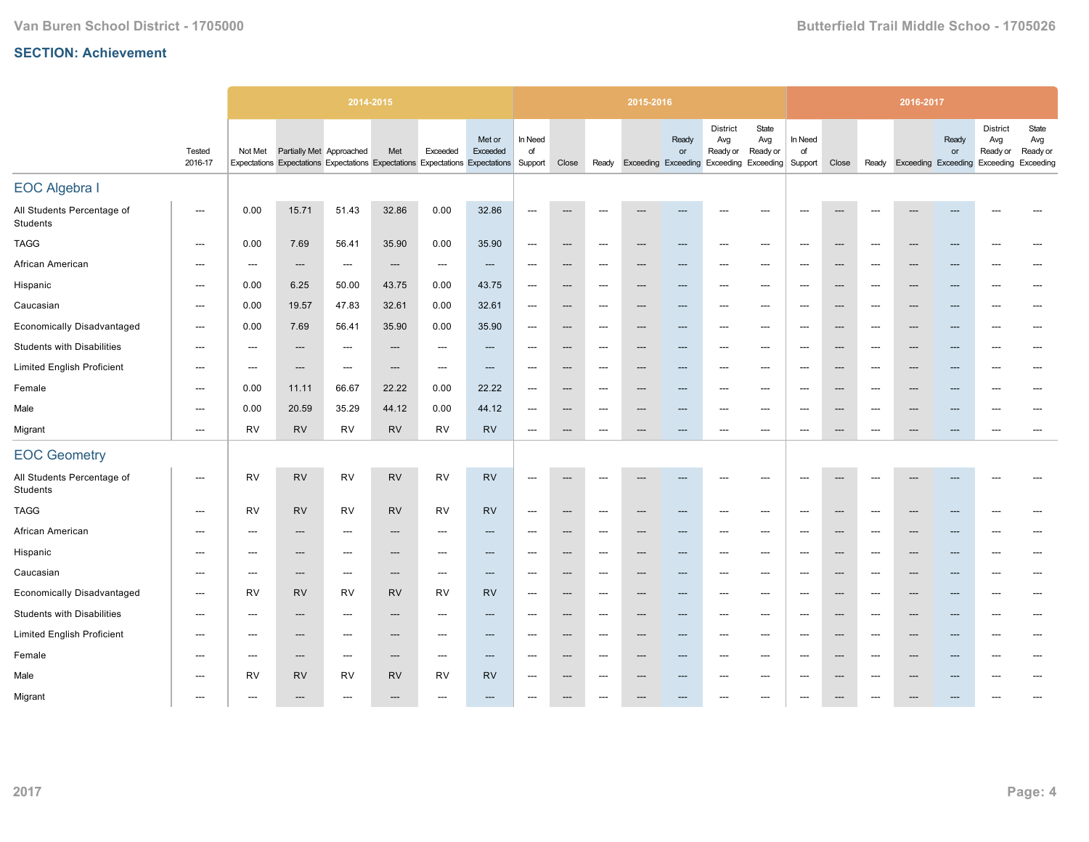|                                        |                          |                          | 2014-2015                |                                                                               |                          |                                   |                          |                                   |                          |                          | 2015-2016 |                          |                                                                                     |                          |                                     |                          |                          | 2016-2017                 |                          |                                                 |                                       |
|----------------------------------------|--------------------------|--------------------------|--------------------------|-------------------------------------------------------------------------------|--------------------------|-----------------------------------|--------------------------|-----------------------------------|--------------------------|--------------------------|-----------|--------------------------|-------------------------------------------------------------------------------------|--------------------------|-------------------------------------|--------------------------|--------------------------|---------------------------|--------------------------|-------------------------------------------------|---------------------------------------|
|                                        | Tested<br>2016-17        | Not Met                  | Partially Met Approached | Expectations Expectations Expectations Expectations Expectations Expectations | Met                      | Exceeded                          | Met or<br>Exceeded       | In Need<br>of<br>Support          | Close                    |                          |           | Ready<br>or              | <b>District</b><br>Avg<br>Ready or<br>Ready Exceeding Exceeding Exceeding Exceeding | State<br>Avg<br>Ready or | In Need<br>of<br>Support            | Close                    |                          | Ready Exceeding Exceeding | Ready<br>or              | <b>District</b><br>Avg<br>Ready or<br>Exceeding | State<br>Avg<br>Ready or<br>Exceeding |
| <b>EOC Algebra I</b>                   |                          |                          |                          |                                                                               |                          |                                   |                          |                                   |                          |                          |           |                          |                                                                                     |                          |                                     |                          |                          |                           |                          |                                                 |                                       |
| All Students Percentage of<br>Students | ---                      | 0.00                     | 15.71                    | 51.43                                                                         | 32.86                    | 0.00                              | 32.86                    | $---$                             | $\overline{\phantom{a}}$ | ---                      |           |                          | $---$                                                                               | ---                      | $---$                               | $\overline{\phantom{a}}$ |                          |                           |                          |                                                 |                                       |
| <b>TAGG</b>                            | $\hspace{0.05cm} \ldots$ | 0.00                     | 7.69                     | 56.41                                                                         | 35.90                    | 0.00                              | 35.90                    | $\hspace{0.05cm} \dashrightarrow$ | $\hspace{0.05cm} \cdots$ | $\hspace{0.05cm} \ldots$ | ---       | $---$                    | $---$                                                                               | $\hspace{0.05cm} \ldots$ | $---$                               | $\hspace{0.05cm} \cdots$ | ---                      | $---$                     | ---                      | $\overline{\phantom{a}}$                        | $---$                                 |
| African American                       | ---                      | $\hspace{0.05cm} \ldots$ | ---                      | $\hspace{0.05cm} \cdots$                                                      | ---                      | $\hspace{0.05cm} \dashrightarrow$ | $\qquad \qquad \cdots$   | $\hspace{0.05cm} \cdots$          | $\hspace{0.05cm} \ldots$ | ---                      | ---       | $\qquad \qquad \cdots$   | $---$                                                                               | $\hspace{0.05cm} \cdots$ | $---$                               | $\hspace{0.05cm} \cdots$ | ---                      | $---$                     | ---                      | $---$                                           | ---                                   |
| Hispanic                               | ---                      | 0.00                     | 6.25                     | 50.00                                                                         | 43.75                    | 0.00                              | 43.75                    | $\hspace{0.05cm} \cdots$          | $\hspace{0.05cm} \ldots$ | ---                      | ---       | $---$                    | $---$                                                                               | $\hspace{0.05cm} \ldots$ | $---$                               | $\hspace{0.05cm} \ldots$ | $\overline{\phantom{a}}$ | ---                       | ---                      | $---$                                           | ---                                   |
| Caucasian                              | $\hspace{0.05cm} \ldots$ | 0.00                     | 19.57                    | 47.83                                                                         | 32.61                    | 0.00                              | 32.61                    | $\hspace{0.05cm} \ldots$          | $\hspace{0.05cm} \ldots$ | $\hspace{0.05cm} \ldots$ | ---       | ---                      | $\overline{\phantom{a}}$                                                            | ---                      | $\hspace{0.05cm}---\hspace{0.05cm}$ | $\hspace{0.05cm} \ldots$ | ---                      | ---                       | ---                      | ---                                             | $\overline{a}$                        |
| <b>Economically Disadvantaged</b>      | ---                      | 0.00                     | 7.69                     | 56.41                                                                         | 35.90                    | 0.00                              | 35.90                    | $\hspace{0.05cm} \dashrightarrow$ | $\hspace{0.05cm} \cdots$ | $\hspace{0.05cm} \cdots$ | ---       | ---                      | $---$                                                                               | $\hspace{0.05cm} \cdots$ | ---                                 | $\hspace{0.05cm} \cdots$ | $\overline{\phantom{a}}$ | ---                       | ---                      | ---                                             | ---                                   |
| <b>Students with Disabilities</b>      | ---                      | $\overline{\phantom{a}}$ | ---                      | ---                                                                           | ---                      | ---                               | ---                      | $\overline{\phantom{a}}$          | ---                      | ---                      | ---       | ---                      | ---                                                                                 | ---                      | $\overline{\phantom{a}}$            | $\hspace{0.05cm} \cdots$ | $\overline{\phantom{a}}$ | ---                       |                          | ---                                             |                                       |
| <b>Limited English Proficient</b>      | ---                      | $\hspace{0.05cm} \cdots$ | ---                      | ---                                                                           | ---                      | $\hspace{0.05cm} \cdots$          | ---                      | $\hspace{0.05cm} \cdots$          | $\hspace{0.05cm} \ldots$ | ---                      |           | ---                      | ---                                                                                 | ---                      | $\overline{\phantom{a}}$            | $\hspace{0.05cm} \cdots$ | $\overline{\phantom{a}}$ | ---                       |                          | $\overline{\phantom{a}}$                        | $---$                                 |
| Female                                 | ---                      | 0.00                     | 11.11                    | 66.67                                                                         | 22.22                    | 0.00                              | 22.22                    | $\hspace{0.05cm} \cdots$          | $\hspace{0.05cm} \ldots$ | ---                      | ---       | ---                      | $\overline{\phantom{a}}$                                                            | ---                      | $\overline{\phantom{a}}$            | $\hspace{0.05cm} \cdots$ | $\overline{\phantom{a}}$ | ---                       | ---                      | $\overline{\phantom{a}}$                        |                                       |
| Male                                   | $\hspace{0.05cm} \ldots$ | 0.00                     | 20.59                    | 35.29                                                                         | 44.12                    | 0.00                              | 44.12                    | $\hspace{0.05cm} \dashrightarrow$ | $\hspace{0.05cm} \ldots$ | $\hspace{0.05cm} \ldots$ | ---       | ---                      | $---$                                                                               | $---$                    | $\overline{\phantom{a}}$            | $\hspace{0.05cm} \cdots$ | $---$                    | ---                       |                          | $---$                                           | ---                                   |
| Migrant                                | $\overline{\phantom{a}}$ | RV                       | <b>RV</b>                | RV                                                                            | <b>RV</b>                | <b>RV</b>                         | <b>RV</b>                | $\hspace{0.05cm} \cdots$          | $\hspace{0.05cm} \cdots$ | $\hspace{0.05cm} \ldots$ | ---       | ---                      | $\overline{\phantom{a}}$                                                            | ---                      | $\overline{\phantom{a}}$            | $\hspace{0.05cm} \cdots$ | $---$                    | ---                       | ---                      | $\overline{\phantom{a}}$                        | ---                                   |
| <b>EOC Geometry</b>                    |                          |                          |                          |                                                                               |                          |                                   |                          |                                   |                          |                          |           |                          |                                                                                     |                          |                                     |                          |                          |                           |                          |                                                 |                                       |
| All Students Percentage of<br>Students | ---                      | <b>RV</b>                | <b>RV</b>                | <b>RV</b>                                                                     | <b>RV</b>                | <b>RV</b>                         | <b>RV</b>                | $\overline{\phantom{a}}$          |                          |                          |           |                          |                                                                                     | ---                      |                                     |                          |                          |                           |                          |                                                 |                                       |
| <b>TAGG</b>                            | ---                      | <b>RV</b>                | <b>RV</b>                | <b>RV</b>                                                                     | <b>RV</b>                | <b>RV</b>                         | <b>RV</b>                | $\hspace{0.05cm} \cdots$          | $\hspace{0.05cm} \ldots$ | ---                      |           | ---                      | ---                                                                                 | ---                      | $\overline{\phantom{a}}$            | $\hspace{0.05cm} \ldots$ | $\overline{\phantom{a}}$ | ---                       | ---                      | $\overline{\phantom{a}}$                        |                                       |
| African American                       | ---                      |                          | ---                      | ---                                                                           | ---                      |                                   | ---                      | $\overline{\phantom{a}}$          | ---                      | ---                      |           | ---                      |                                                                                     | ---                      | $\overline{\phantom{a}}$            | $\hspace{0.05cm} \cdots$ | ---                      | ---                       |                          | ---                                             |                                       |
| Hispanic                               | $---$                    | $---$                    | ---                      | ---                                                                           | ---                      | ---                               | ---                      | $\overline{\phantom{a}}$          | $\overline{\phantom{a}}$ | $---$                    |           | $---$                    | ---                                                                                 | ---                      | $\overline{\phantom{a}}$            | $\hspace{0.05cm} \cdots$ | $\overline{\phantom{a}}$ | ---                       | ---                      | $\overline{\phantom{a}}$                        | ---                                   |
| Caucasian                              | ---                      | $\hspace{0.05cm} \ldots$ | ---                      | $\overline{\phantom{a}}$                                                      | $\hspace{0.05cm} \cdots$ | $\overline{\phantom{a}}$          | $\hspace{0.05cm} \ldots$ | $\hspace{0.05cm} \cdots$          | $\hspace{0.05cm} \ldots$ | $\hspace{0.05cm} \ldots$ | ---       | $\hspace{0.05cm} \cdots$ | $\overline{\phantom{a}}$                                                            | $\hspace{0.05cm} \ldots$ | $\overline{\phantom{a}}$            | $\hspace{0.05cm} \cdots$ | $---$                    | ---                       | ---                      | $\overline{\phantom{a}}$                        | ---                                   |
| <b>Economically Disadvantaged</b>      | $\hspace{0.05cm} \ldots$ | RV                       | <b>RV</b>                | RV                                                                            | <b>RV</b>                | <b>RV</b>                         | <b>RV</b>                | $\overline{\phantom{a}}$          | $\hspace{0.05cm} \ldots$ | $\hspace{0.05cm} \ldots$ | ---       | ---                      | $---$                                                                               | $---$                    | $---$                               | $\hspace{0.05cm} \ldots$ | $---$                    | $---$                     | ---                      | $---$                                           | $---$                                 |
| <b>Students with Disabilities</b>      | $---$                    | $---$                    | $---$                    | $---$                                                                         | $---$                    | $---$                             | $---$                    | $---$                             | $---$                    | $---$                    | ---       | $---$                    | $---$                                                                               | $---$                    | $---$                               | $---$                    | $---$                    | $---$                     | $---$                    | $---$                                           | $---$                                 |
| <b>Limited English Proficient</b>      | $\hspace{0.05cm} \ldots$ | $---$                    | $\hspace{0.05cm} \ldots$ | $---$                                                                         | $\hspace{0.05cm} \ldots$ | ---                               | $\hspace{0.05cm} \ldots$ | $\hspace{0.05cm} \ldots$          | $\hspace{0.05cm} \ldots$ | $---$                    | ---       | $---$                    | $---$                                                                               | $\hspace{0.05cm} \ldots$ | $---$                               | $\hspace{0.05cm} \ldots$ | $---$                    | $---$                     | $\overline{\phantom{a}}$ | $---$                                           | $---$                                 |
| Female                                 | $---$                    | $---$                    | ---                      | $---$                                                                         | $---$                    | $---$                             | $\hspace{0.05cm} \ldots$ | $\hspace{0.05cm} \ldots$          | $\hspace{0.05cm} \ldots$ | $---$                    | ---       | $\hspace{0.05cm} \ldots$ | $---$                                                                               | $---$                    | $---$                               | $\hspace{0.05cm} \ldots$ | $---$                    | $---$                     | $\overline{\phantom{a}}$ | $---$                                           | ---                                   |
| Male                                   | $---$                    | RV                       | <b>RV</b>                | RV                                                                            | <b>RV</b>                | RV                                | RV                       | $---$                             | $---$                    | $---$                    | ---       | $---$                    | $---$                                                                               | $---$                    | $---$                               | $\hspace{0.05cm} \ldots$ | $---$                    | $\overline{\phantom{a}}$  | ---                      | $---$                                           | ---                                   |
| Migrant                                | $---$                    | $---$                    | ---                      | ---                                                                           | $---$                    | ---                               | $---$                    | ---                               | $\hspace{0.05cm} \ldots$ | ---                      |           | ---                      | ---                                                                                 | $---$                    | $---$                               | $\hspace{0.05cm} \ldots$ | ---                      | ---                       |                          | ---                                             |                                       |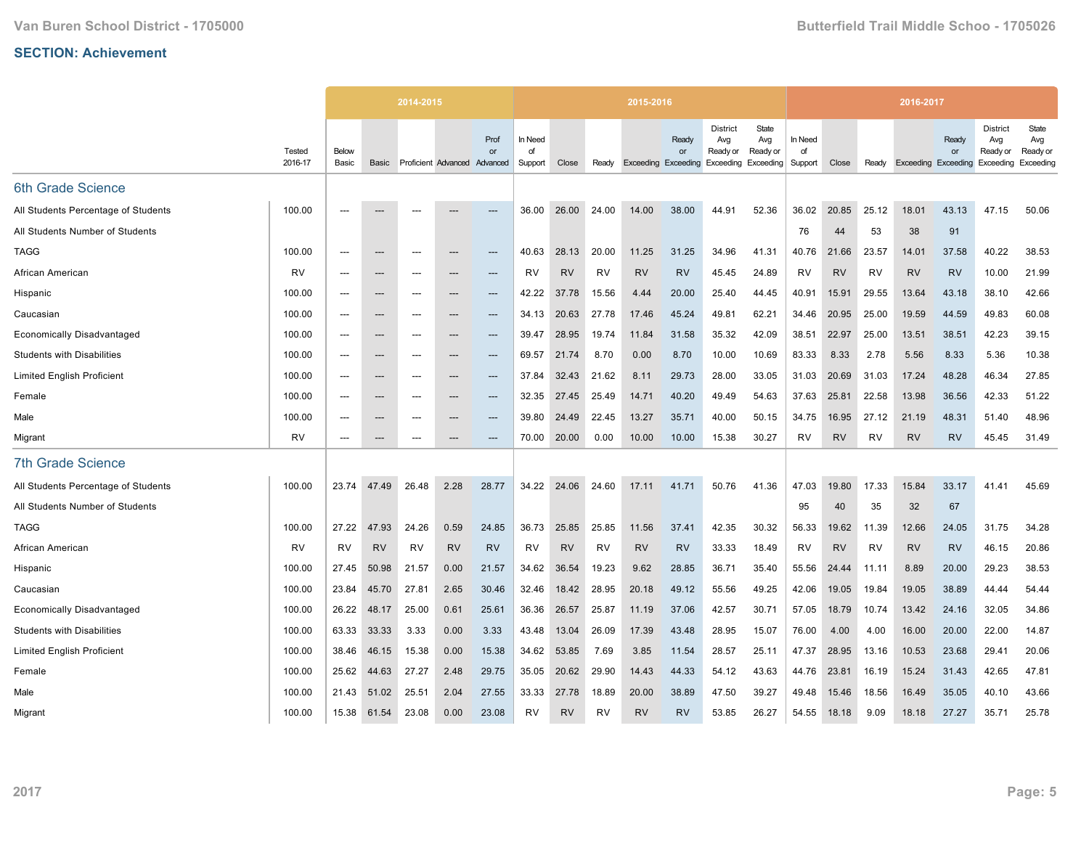|                                     |                   |                | 2014-2015                |           |                              |            |                          |           |           | 2015-2016                  |             |                                                 |                                       |                          |           |           | 2016-2017                  |                    |                                          |                                       |
|-------------------------------------|-------------------|----------------|--------------------------|-----------|------------------------------|------------|--------------------------|-----------|-----------|----------------------------|-------------|-------------------------------------------------|---------------------------------------|--------------------------|-----------|-----------|----------------------------|--------------------|------------------------------------------|---------------------------------------|
|                                     | Tested<br>2016-17 | Below<br>Basic | Basic                    |           | Proficient Advanced Advanced | Prof<br>or | In Need<br>of<br>Support | Close     | Ready     | <b>Exceeding Exceeding</b> | Ready<br>or | <b>District</b><br>Avg<br>Ready or<br>Exceeding | State<br>Avg<br>Ready or<br>Exceeding | In Need<br>of<br>Support | Close     | Ready     | <b>Exceeding Exceeding</b> | Ready<br><b>or</b> | District<br>Avg<br>Ready or<br>Exceeding | State<br>Avg<br>Ready or<br>Exceeding |
| 6th Grade Science                   |                   |                |                          |           |                              |            |                          |           |           |                            |             |                                                 |                                       |                          |           |           |                            |                    |                                          |                                       |
| All Students Percentage of Students | 100.00            | $---$          |                          |           |                              | ---        | 36.00                    | 26.00     | 24.00     | 14.00                      | 38.00       | 44.91                                           | 52.36                                 | 36.02                    | 20.85     | 25.12     | 18.01                      | 43.13              | 47.15                                    | 50.06                                 |
| All Students Number of Students     |                   |                |                          |           |                              |            |                          |           |           |                            |             |                                                 |                                       | 76                       | 44        | 53        | 38                         | 91                 |                                          |                                       |
| <b>TAGG</b>                         | 100.00            | $---$          | $---$                    | $---$     | ---                          | ---        | 40.63                    | 28.13     | 20.00     | 11.25                      | 31.25       | 34.96                                           | 41.31                                 | 40.76                    | 21.66     | 23.57     | 14.01                      | 37.58              | 40.22                                    | 38.53                                 |
| African American                    | <b>RV</b>         | $---$          | ---                      | ---       |                              | ---        | <b>RV</b>                | <b>RV</b> | <b>RV</b> | <b>RV</b>                  | <b>RV</b>   | 45.45                                           | 24.89                                 | <b>RV</b>                | <b>RV</b> | <b>RV</b> | <b>RV</b>                  | <b>RV</b>          | 10.00                                    | 21.99                                 |
| Hispanic                            | 100.00            | $---$          | $\hspace{0.05cm} \ldots$ | $---$     | ---                          | ---        | 42.22                    | 37.78     | 15.56     | 4.44                       | 20.00       | 25.40                                           | 44.45                                 | 40.91                    | 15.91     | 29.55     | 13.64                      | 43.18              | 38.10                                    | 42.66                                 |
| Caucasian                           | 100.00            | $---$          | $---$                    | $---$     | ---                          | $---$      | 34.13                    | 20.63     | 27.78     | 17.46                      | 45.24       | 49.81                                           | 62.21                                 | 34.46                    | 20.95     | 25.00     | 19.59                      | 44.59              | 49.83                                    | 60.08                                 |
| <b>Economically Disadvantaged</b>   | 100.00            | $---$          | $\hspace{0.05cm} \cdots$ | ---       | ---                          | ---        | 39.47                    | 28.95     | 19.74     | 11.84                      | 31.58       | 35.32                                           | 42.09                                 | 38.51                    | 22.97     | 25.00     | 13.51                      | 38.51              | 42.23                                    | 39.15                                 |
| <b>Students with Disabilities</b>   | 100.00            | $---$          | $---$                    | $---$     | ---                          | $---$      | 69.57                    | 21.74     | 8.70      | 0.00                       | 8.70        | 10.00                                           | 10.69                                 | 83.33                    | 8.33      | 2.78      | 5.56                       | 8.33               | 5.36                                     | 10.38                                 |
| <b>Limited English Proficient</b>   | 100.00            | $---$          | $\hspace{0.05cm} \ldots$ | $---$     | ---                          | $---$      | 37.84                    | 32.43     | 21.62     | 8.11                       | 29.73       | 28.00                                           | 33.05                                 | 31.03                    | 20.69     | 31.03     | 17.24                      | 48.28              | 46.34                                    | 27.85                                 |
| Female                              | 100.00            | ---            | ---                      | ---       | ---                          | ---        | 32.35                    | 27.45     | 25.49     | 14.71                      | 40.20       | 49.49                                           | 54.63                                 | 37.63                    | 25.81     | 22.58     | 13.98                      | 36.56              | 42.33                                    | 51.22                                 |
| Male                                | 100.00            | $---$          | $---$                    | $---$     | ---                          | $---$      | 39.80                    | 24.49     | 22.45     | 13.27                      | 35.71       | 40.00                                           | 50.15                                 | 34.75                    | 16.95     | 27.12     | 21.19                      | 48.31              | 51.40                                    | 48.96                                 |
| Migrant                             | <b>RV</b>         | $---$          | $\hspace{0.05cm} \ldots$ | $---$     | ---                          | $---$      | 70.00                    | 20.00     | 0.00      | 10.00                      | 10.00       | 15.38                                           | 30.27                                 | <b>RV</b>                | <b>RV</b> | <b>RV</b> | <b>RV</b>                  | <b>RV</b>          | 45.45                                    | 31.49                                 |
| <b>7th Grade Science</b>            |                   |                |                          |           |                              |            |                          |           |           |                            |             |                                                 |                                       |                          |           |           |                            |                    |                                          |                                       |
| All Students Percentage of Students | 100.00            | 23.74          | 47.49                    | 26.48     | 2.28                         | 28.77      | 34.22                    | 24.06     | 24.60     | 17.11                      | 41.71       | 50.76                                           | 41.36                                 | 47.03                    | 19.80     | 17.33     | 15.84                      | 33.17              | 41.41                                    | 45.69                                 |
| All Students Number of Students     |                   |                |                          |           |                              |            |                          |           |           |                            |             |                                                 |                                       | 95                       | 40        | 35        | 32                         | 67                 |                                          |                                       |
| <b>TAGG</b>                         | 100.00            | 27.22          | 47.93                    | 24.26     | 0.59                         | 24.85      | 36.73                    | 25.85     | 25.85     | 11.56                      | 37.41       | 42.35                                           | 30.32                                 | 56.33                    | 19.62     | 11.39     | 12.66                      | 24.05              | 31.75                                    | 34.28                                 |
| African American                    | RV                | <b>RV</b>      | <b>RV</b>                | <b>RV</b> | <b>RV</b>                    | <b>RV</b>  | RV                       | <b>RV</b> | RV        | <b>RV</b>                  | <b>RV</b>   | 33.33                                           | 18.49                                 | RV                       | <b>RV</b> | RV        | <b>RV</b>                  | <b>RV</b>          | 46.15                                    | 20.86                                 |
| Hispanic                            | 100.00            | 27.45          | 50.98                    | 21.57     | 0.00                         | 21.57      | 34.62                    | 36.54     | 19.23     | 9.62                       | 28.85       | 36.71                                           | 35.40                                 | 55.56                    | 24.44     | 11.11     | 8.89                       | 20.00              | 29.23                                    | 38.53                                 |
| Caucasian                           | 100.00            | 23.84          | 45.70                    | 27.81     | 2.65                         | 30.46      | 32.46                    | 18.42     | 28.95     | 20.18                      | 49.12       | 55.56                                           | 49.25                                 | 42.06                    | 19.05     | 19.84     | 19.05                      | 38.89              | 44.44                                    | 54.44                                 |
| <b>Economically Disadvantaged</b>   | 100.00            | 26.22          | 48.17                    | 25.00     | 0.61                         | 25.61      | 36.36                    | 26.57     | 25.87     | 11.19                      | 37.06       | 42.57                                           | 30.71                                 | 57.05                    | 18.79     | 10.74     | 13.42                      | 24.16              | 32.05                                    | 34.86                                 |
| <b>Students with Disabilities</b>   | 100.00            | 63.33          | 33.33                    | 3.33      | 0.00                         | 3.33       | 43.48                    | 13.04     | 26.09     | 17.39                      | 43.48       | 28.95                                           | 15.07                                 | 76.00                    | 4.00      | 4.00      | 16.00                      | 20.00              | 22.00                                    | 14.87                                 |
| <b>Limited English Proficient</b>   | 100.00            | 38.46          | 46.15                    | 15.38     | 0.00                         | 15.38      | 34.62                    | 53.85     | 7.69      | 3.85                       | 11.54       | 28.57                                           | 25.11                                 | 47.37                    | 28.95     | 13.16     | 10.53                      | 23.68              | 29.41                                    | 20.06                                 |
| Female                              | 100.00            | 25.62          | 44.63                    | 27.27     | 2.48                         | 29.75      | 35.05                    | 20.62     | 29.90     | 14.43                      | 44.33       | 54.12                                           | 43.63                                 | 44.76                    | 23.81     | 16.19     | 15.24                      | 31.43              | 42.65                                    | 47.81                                 |
| Male                                | 100.00            | 21.43          | 51.02                    | 25.51     | 2.04                         | 27.55      | 33.33                    | 27.78     | 18.89     | 20.00                      | 38.89       | 47.50                                           | 39.27                                 | 49.48                    | 15.46     | 18.56     | 16.49                      | 35.05              | 40.10                                    | 43.66                                 |
| Migrant                             | 100.00            | 15.38          | 61.54                    | 23.08     | 0.00                         | 23.08      | RV                       | <b>RV</b> | RV        | <b>RV</b>                  | <b>RV</b>   | 53.85                                           | 26.27                                 | 54.55                    | 18.18     | 9.09      | 18.18                      | 27.27              | 35.71                                    | 25.78                                 |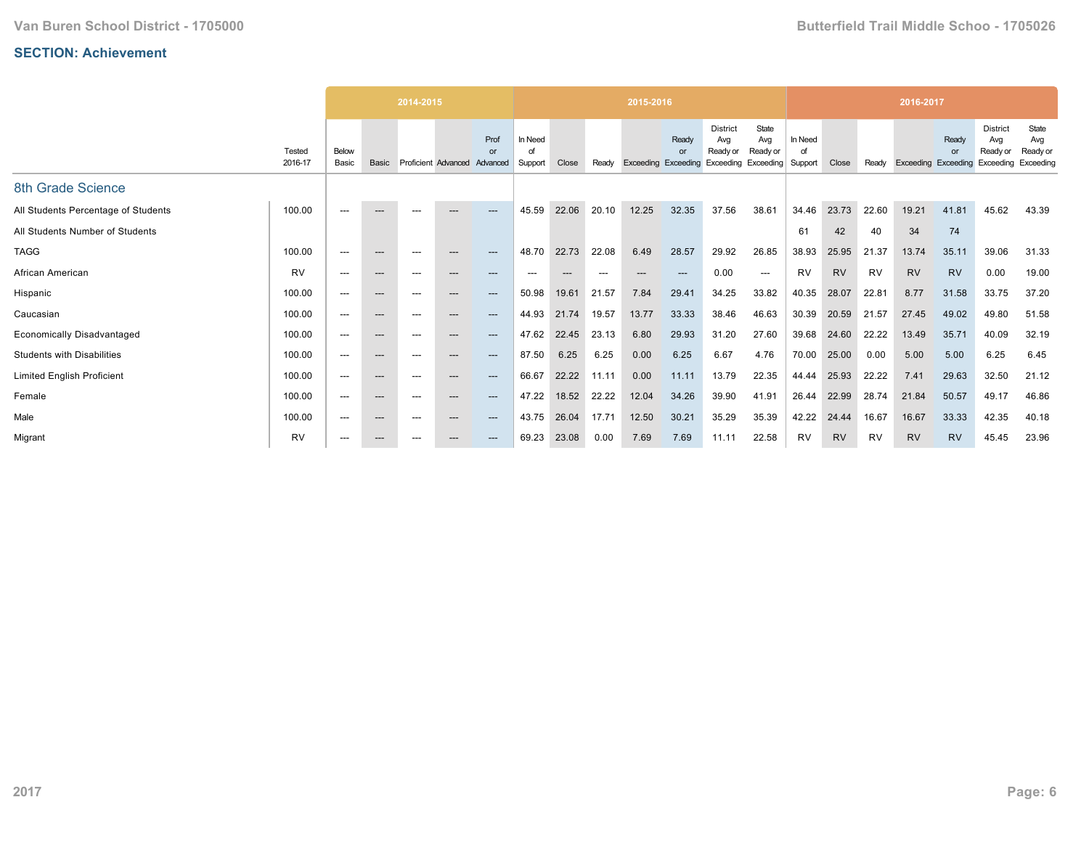|                                     |                   |                |                          | 2014-2015 |                              |            |                          |       |                          | 2015-2016 |                                           |                                    |                                                 |                          |           |       | 2016-2017           |             |                                                 |                                       |
|-------------------------------------|-------------------|----------------|--------------------------|-----------|------------------------------|------------|--------------------------|-------|--------------------------|-----------|-------------------------------------------|------------------------------------|-------------------------------------------------|--------------------------|-----------|-------|---------------------|-------------|-------------------------------------------------|---------------------------------------|
|                                     | Tested<br>2016-17 | Below<br>Basic | Basic                    |           | Proficient Advanced Advanced | Prof<br>or | In Need<br>Ωf<br>Support | Close | Readv                    |           | Ready<br>or<br><b>Exceeding Exceeding</b> | <b>District</b><br>Avg<br>Ready or | State<br>Avg<br>Ready or<br>Exceeding Exceeding | In Need<br>of<br>Support | Close     | Readv | Exceeding Exceeding | Ready<br>or | <b>District</b><br>Avg<br>Ready or<br>Exceeding | State<br>Avg<br>Ready or<br>Exceeding |
| 8th Grade Science                   |                   |                |                          |           |                              |            |                          |       |                          |           |                                           |                                    |                                                 |                          |           |       |                     |             |                                                 |                                       |
| All Students Percentage of Students | 100.00            | $---$          | $---$                    | $---$     | $---$                        | $---$      | 45.59                    | 22.06 | 20.10                    | 12.25     | 32.35                                     | 37.56                              | 38.61                                           | 34.46                    | 23.73     | 22.60 | 19.21               | 41.81       | 45.62                                           | 43.39                                 |
| All Students Number of Students     |                   |                |                          |           |                              |            |                          |       |                          |           |                                           |                                    |                                                 | 61                       | 42        | 40    | 34                  | 74          |                                                 |                                       |
| <b>TAGG</b>                         | 100.00            | $---$          | $---$                    | $---$     | $---$                        | ---        | 48.70                    | 22.73 | 22.08                    | 6.49      | 28.57                                     | 29.92                              | 26.85                                           | 38.93                    | 25.95     | 21.37 | 13.74               | 35.11       | 39.06                                           | 31.33                                 |
| African American                    | <b>RV</b>         | $---$          | $---$                    | ---       | $---$                        | $---$      | ---                      | $---$ | $\hspace{0.05cm} \ldots$ | $---$     | ---                                       | 0.00                               | $---$                                           | <b>RV</b>                | <b>RV</b> | RV    | <b>RV</b>           | <b>RV</b>   | 0.00                                            | 19.00                                 |
| Hispanic                            | 100.00            | $---$          | $---$                    | $---$     | $---$                        | ---        | 50.98                    | 19.61 | 21.57                    | 7.84      | 29.41                                     | 34.25                              | 33.82                                           | 40.35                    | 28.07     | 22.81 | 8.77                | 31.58       | 33.75                                           | 37.20                                 |
| Caucasian                           | 100.00            | $---$          | $---$                    | ---       | $---$                        | $---$      | 44.93                    | 21.74 | 19.57                    | 13.77     | 33.33                                     | 38.46                              | 46.63                                           | 30.39                    | 20.59     | 21.57 | 27.45               | 49.02       | 49.80                                           | 51.58                                 |
| <b>Economically Disadvantaged</b>   | 100.00            | $---$          | $---$                    | ---       | $---$                        | ---        | 47.62                    | 22.45 | 23.13                    | 6.80      | 29.93                                     | 31.20                              | 27.60                                           | 39.68                    | 24.60     | 22.22 | 13.49               | 35.71       | 40.09                                           | 32.19                                 |
| <b>Students with Disabilities</b>   | 100.00            | $---$          | $\hspace{0.05cm} \ldots$ | $---$     | $---$                        | ---        | 87.50                    | 6.25  | 6.25                     | 0.00      | 6.25                                      | 6.67                               | 4.76                                            | 70.00                    | 25.00     | 0.00  | 5.00                | 5.00        | 6.25                                            | 6.45                                  |
| <b>Limited English Proficient</b>   | 100.00            | $---$          | $---$                    | ---       | $---$                        | $---$      | 66.67                    | 22.22 | 11.11                    | 0.00      | 11.11                                     | 13.79                              | 22.35                                           | 44.44                    | 25.93     | 22.22 | 7.41                | 29.63       | 32.50                                           | 21.12                                 |
| Female                              | 100.00            | $---$          | $\qquad \qquad \cdots$   | $---$     | $---$                        | ---        | 47.22                    | 18.52 | 22.22                    | 12.04     | 34.26                                     | 39.90                              | 41.91                                           | 26.44                    | 22.99     | 28.74 | 21.84               | 50.57       | 49.17                                           | 46.86                                 |
| Male                                | 100.00            | $---$          | $---$                    | $---$     | $---$                        | ---        | 43.75                    | 26.04 | 17.71                    | 12.50     | 30.21                                     | 35.29                              | 35.39                                           | 42.22                    | 24.44     | 16.67 | 16.67               | 33.33       | 42.35                                           | 40.18                                 |
| Migrant                             | <b>RV</b>         | $---$          | $---$                    | ---       | $---$                        | ---        | 69.23                    | 23.08 | 0.00                     | 7.69      | 7.69                                      | 11.11                              | 22.58                                           | <b>RV</b>                | <b>RV</b> | RV    | <b>RV</b>           | <b>RV</b>   | 45.45                                           | 23.96                                 |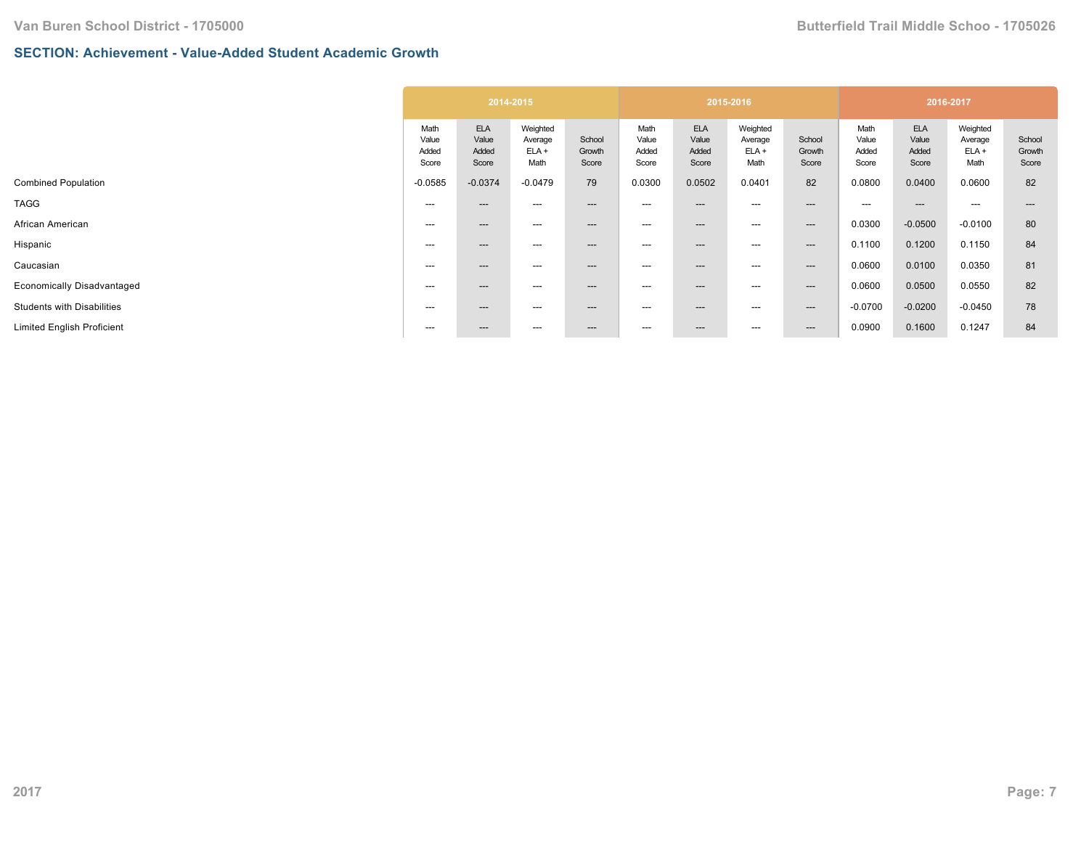# **SECTION: Achievement - Value-Added Student Academic Growth**

| <b>ELA</b><br><b>ELA</b><br>Weighted<br>Weighted<br>Math<br>Math<br>Value<br>Value<br>School<br>Value<br>Value<br>Average<br>Average<br>$ELA +$<br>$ELA +$<br>Added<br>Added<br>Added<br>Growth<br>Added<br>Score<br>Math<br>Score<br>Math<br>Score<br>Score<br>Score<br>$-0.0374$<br>79<br>0.0502<br>$-0.0585$<br>$-0.0479$<br>0.0300<br>0.0401 |                           |                                 | 2016-2017                             |                                      |                           |
|--------------------------------------------------------------------------------------------------------------------------------------------------------------------------------------------------------------------------------------------------------------------------------------------------------------------------------------------------|---------------------------|---------------------------------|---------------------------------------|--------------------------------------|---------------------------|
|                                                                                                                                                                                                                                                                                                                                                  | School<br>Growth<br>Score | Math<br>Value<br>Added<br>Score | <b>ELA</b><br>Value<br>Added<br>Score | Weighted<br>Average<br>ELA +<br>Math | School<br>Growth<br>Score |
|                                                                                                                                                                                                                                                                                                                                                  | 82                        | 0.0800                          | 0.0400                                | 0.0600                               | 82                        |
| ---<br>$---$<br>---<br>---<br>$---$<br>---<br>---                                                                                                                                                                                                                                                                                                | $---$                     | ---                             | $- - -$                               | $---$                                |                           |
| ---<br>---<br>$---$<br>---<br>---<br>---<br>---                                                                                                                                                                                                                                                                                                  | $---$                     | 0.0300                          | $-0.0500$                             | $-0.0100$                            | 80                        |
| ---<br>---<br>$---$<br>---<br>---<br>---<br>$---$                                                                                                                                                                                                                                                                                                | $--$                      | 0.1100                          | 0.1200                                | 0.1150                               | 84                        |
| ---<br>---<br>$---$<br>---<br>---<br>---<br>$---$                                                                                                                                                                                                                                                                                                | $---$                     | 0.0600                          | 0.0100                                | 0.0350                               | 81                        |
| $---$<br>$---$<br>---<br>$---$<br>---<br>---<br>---                                                                                                                                                                                                                                                                                              | $--$                      | 0.0600                          | 0.0500                                | 0.0550                               | 82                        |
| $---$<br>$---$<br>---<br>$---$<br>---<br>---<br>---                                                                                                                                                                                                                                                                                              | $--$                      | $-0.0700$                       | $-0.0200$                             | $-0.0450$                            | 78                        |
| ---<br>---<br>$---$<br>$\hspace{0.05cm} \ldots$<br>---<br>$---$<br>---                                                                                                                                                                                                                                                                           | $---$                     | 0.0900                          | 0.1600                                | 0.1247                               | 84                        |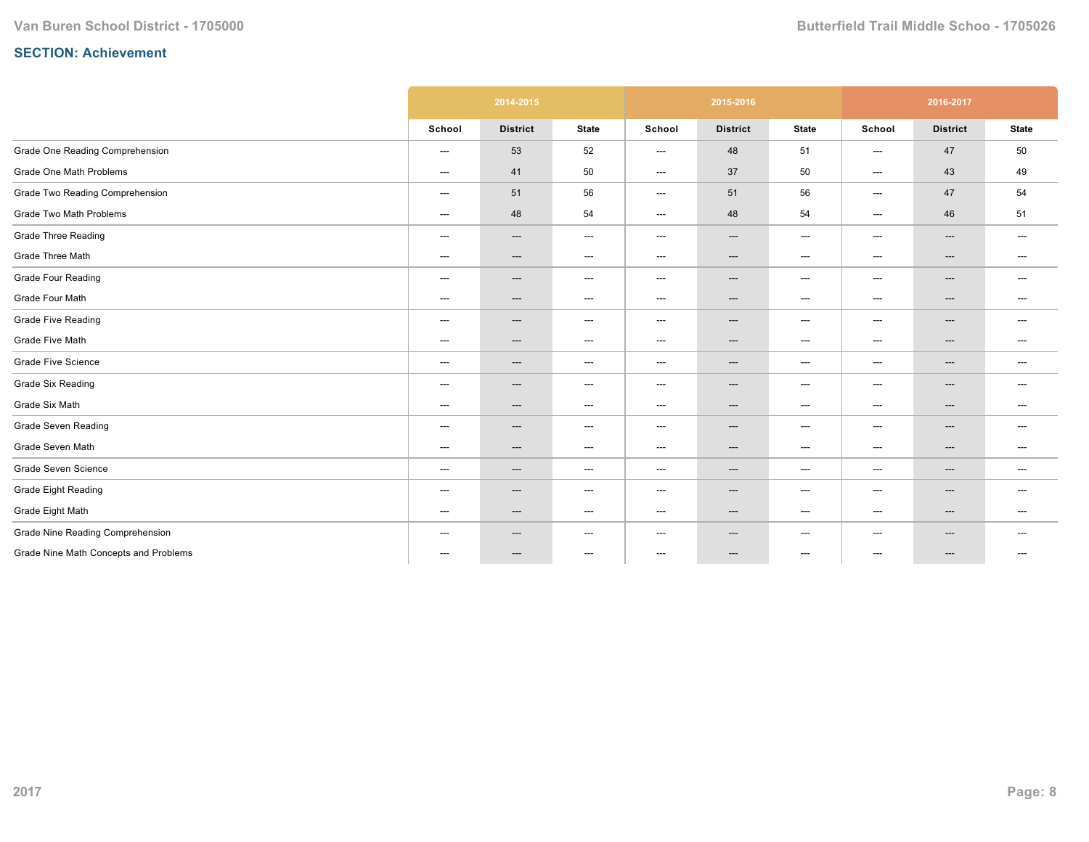|                                       |                                   | 2014-2015                |                                   |                                   | 2015-2016                         |                                   |                          | 2016-2017       |                          |
|---------------------------------------|-----------------------------------|--------------------------|-----------------------------------|-----------------------------------|-----------------------------------|-----------------------------------|--------------------------|-----------------|--------------------------|
|                                       | School                            | <b>District</b>          | <b>State</b>                      | School                            | <b>District</b>                   | <b>State</b>                      | School                   | <b>District</b> | <b>State</b>             |
| Grade One Reading Comprehension       | $\hspace{0.05cm} \ldots$          | 53                       | 52                                | $---$                             | 48                                | 51                                | $\hspace{0.05cm} \ldots$ | 47              | 50                       |
| Grade One Math Problems               | $\qquad \qquad \cdots$            | 41                       | 50                                | $---$                             | 37                                | 50                                | $\qquad \qquad \cdots$   | 43              | 49                       |
| Grade Two Reading Comprehension       | $\qquad \qquad \cdots$            | 51                       | 56                                | $\qquad \qquad \cdots$            | 51                                | 56                                | $\qquad \qquad \cdots$   | 47              | 54                       |
| Grade Two Math Problems               | $---$                             | 48                       | 54                                | $---$                             | 48                                | 54                                | $---$                    | 46              | 51                       |
| <b>Grade Three Reading</b>            | $\qquad \qquad \cdots$            | ---                      | $\hspace{0.05cm} \ldots$          | $\qquad \qquad \cdots$            | ---                               | $\hspace{0.05cm} \ldots$          | $\qquad \qquad \cdots$   | ---             | $\hspace{0.05cm} \ldots$ |
| Grade Three Math                      | $\qquad \qquad \cdots$            | ---                      | $\hspace{0.05cm} \ldots$          | $\qquad \qquad \cdots$            | ---                               | $\hspace{0.05cm} \ldots$          | $\qquad \qquad \cdots$   | ---             | $\hspace{0.05cm} \ldots$ |
| <b>Grade Four Reading</b>             | $\hspace{0.05cm} \ldots$          | ---                      | $\hspace{0.05cm} \ldots$          | $\hspace{0.05cm} \dashrightarrow$ | ---                               | $\hspace{0.05cm} \ldots$          | $\hspace{0.05cm} \ldots$ | ---             | $\hspace{0.05cm} \ldots$ |
| Grade Four Math                       | $\hspace{0.05cm} \dashrightarrow$ | ---                      | $\hspace{0.05cm} \dashrightarrow$ | $---$                             | ---                               | $\hspace{0.05cm} \ldots$          | $---$                    | ---             | $\hspace{0.05cm} \ldots$ |
| <b>Grade Five Reading</b>             | $\qquad \qquad \cdots$            | ---                      | $\hspace{0.05cm} \ldots$          | $\qquad \qquad \cdots$            | $---$                             | $\hspace{0.05cm} \ldots$          | $---$                    | ---             | $---$                    |
| Grade Five Math                       | $\qquad \qquad \cdots$            | $---$                    | $\hspace{0.05cm} \ldots$          | $---$                             | $\hspace{0.05cm} \ldots$          | $\hspace{0.05cm} \ldots$          | $---$                    | ---             | $\hspace{0.05cm} \ldots$ |
| <b>Grade Five Science</b>             | ---                               | ---                      | $\hspace{0.05cm} \dashrightarrow$ | ---                               | ---                               | $\hspace{0.05cm} \dashrightarrow$ | ---                      | ---             | $---$                    |
| <b>Grade Six Reading</b>              | $\hspace{0.05cm} \ldots$          | $\hspace{0.05cm} \ldots$ | $\hspace{0.05cm} \ldots$          | $\hspace{0.05cm} \dashrightarrow$ | ---                               | $\hspace{0.05cm} \ldots$          | ---                      | ---             | $---$                    |
| Grade Six Math                        | $\hspace{0.05cm} \ldots$          | ---                      | $\hspace{0.05cm} \ldots$          | $---$                             | ---                               | $\hspace{0.05cm} \ldots$          | $---$                    | ---             | $---$                    |
| Grade Seven Reading                   | $---$                             | ---                      | $\hspace{0.05cm} \dashrightarrow$ | $---$                             | $\hspace{0.05cm} \ldots$          | $\hspace{0.05cm} \ldots$          | $---$                    | ---             | ---                      |
| Grade Seven Math                      | $---$                             | ---                      | $\hspace{0.05cm} \ldots$          | $---$                             | $---$                             | $---$                             | $---$                    | ---             | ---                      |
| Grade Seven Science                   | $\qquad \qquad \cdots$            | ---                      | $\hspace{0.05cm} \dashrightarrow$ | ---                               | $\hspace{0.05cm} \dashrightarrow$ | $\hspace{0.05cm} \ldots$          | $\qquad \qquad \cdots$   | ---             | $---$                    |
| <b>Grade Eight Reading</b>            | $\hspace{0.05cm} \ldots$          | ---                      | $\hspace{0.05cm} \dashrightarrow$ | $---$                             | ---                               | $\hspace{0.05cm} \dashrightarrow$ | ---                      | ---             | $---$                    |
| Grade Eight Math                      | $\hspace{0.05cm} \dashrightarrow$ | ---                      | $\hspace{0.05cm} \ldots$          | $---$                             | ---                               | $\hspace{0.05cm} \ldots$          | $---$                    | ---             | ---                      |
| Grade Nine Reading Comprehension      | $---$                             | ---                      | $---$                             | $---$                             | $---$                             | ---                               | $---$                    | ---             | ---                      |
| Grade Nine Math Concepts and Problems | $---$                             | $---$                    | $\hspace{0.05cm} \ldots$          | $---$                             | ---                               | $---$                             | $---$                    | $---$           | $---$                    |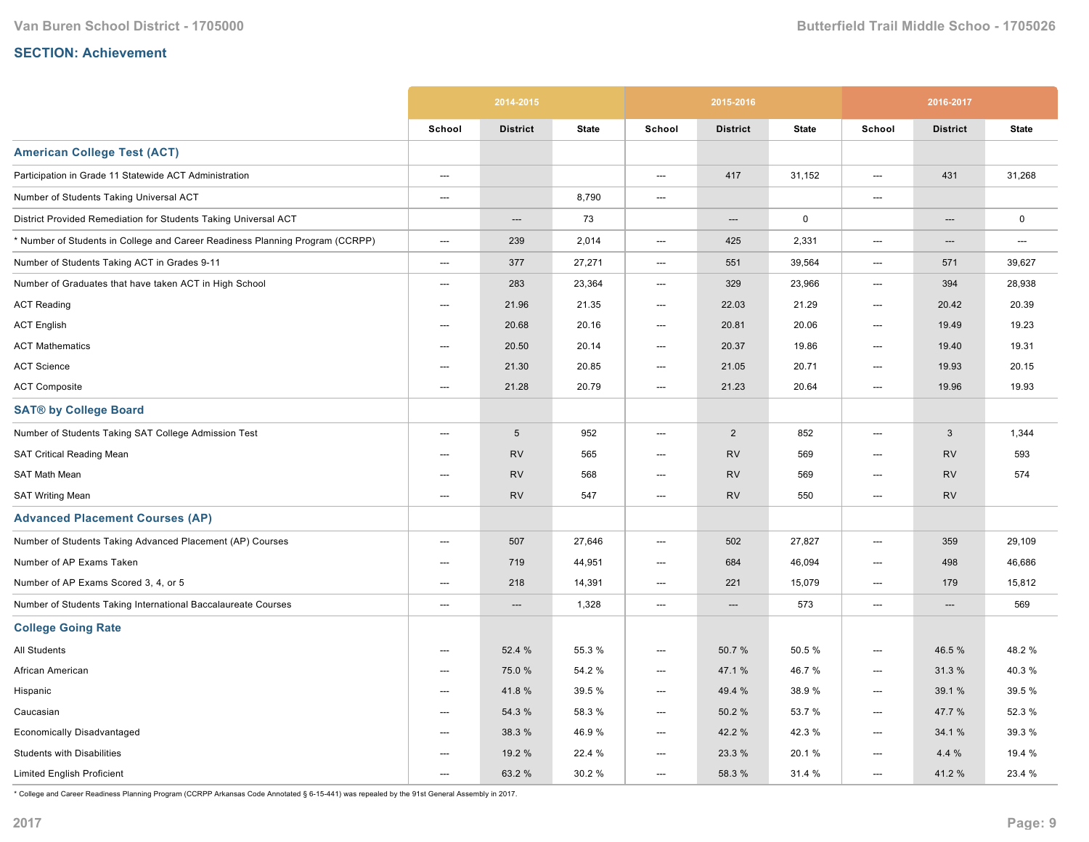|                                                                               |                          | 2014-2015       |              |                          | 2015-2016       |              |                          | 2016-2017       |              |
|-------------------------------------------------------------------------------|--------------------------|-----------------|--------------|--------------------------|-----------------|--------------|--------------------------|-----------------|--------------|
|                                                                               | School                   | <b>District</b> | <b>State</b> | School                   | <b>District</b> | <b>State</b> | School                   | <b>District</b> | <b>State</b> |
| <b>American College Test (ACT)</b>                                            |                          |                 |              |                          |                 |              |                          |                 |              |
| Participation in Grade 11 Statewide ACT Administration                        | ---                      |                 |              | ---                      | 417             | 31,152       | ---                      | 431             | 31,268       |
| Number of Students Taking Universal ACT                                       | ---                      |                 | 8,790        | ---                      |                 |              | ---                      |                 |              |
| District Provided Remediation for Students Taking Universal ACT               |                          | ---             | 73           |                          | ---             | $\mathbf 0$  |                          | ---             | $\mathbf 0$  |
| * Number of Students in College and Career Readiness Planning Program (CCRPP) | ---                      | 239             | 2,014        | ---                      | 425             | 2,331        | ---                      | ---             | ---          |
| Number of Students Taking ACT in Grades 9-11                                  | $---$                    | 377             | 27,271       | $\hspace{0.05cm} \ldots$ | 551             | 39,564       | ---                      | 571             | 39,627       |
| Number of Graduates that have taken ACT in High School                        | ---                      | 283             | 23,364       | ---                      | 329             | 23,966       | ---                      | 394             | 28,938       |
| <b>ACT Reading</b>                                                            | $---$                    | 21.96           | 21.35        | $---$                    | 22.03           | 21.29        | ---                      | 20.42           | 20.39        |
| <b>ACT English</b>                                                            | $---$                    | 20.68           | 20.16        | $---$                    | 20.81           | 20.06        | $---$                    | 19.49           | 19.23        |
| <b>ACT Mathematics</b>                                                        | ---                      | 20.50           | 20.14        | ---                      | 20.37           | 19.86        | $\hspace{0.05cm} \ldots$ | 19.40           | 19.31        |
| <b>ACT Science</b>                                                            | ---                      | 21.30           | 20.85        | ---                      | 21.05           | 20.71        | ---                      | 19.93           | 20.15        |
| <b>ACT Composite</b>                                                          | ---                      | 21.28           | 20.79        | ---                      | 21.23           | 20.64        | ---                      | 19.96           | 19.93        |
| <b>SAT® by College Board</b>                                                  |                          |                 |              |                          |                 |              |                          |                 |              |
| Number of Students Taking SAT College Admission Test                          | ---                      | $\sqrt{5}$      | 952          | ---                      | $\overline{2}$  | 852          | ---                      | 3               | 1,344        |
| <b>SAT Critical Reading Mean</b>                                              | ---                      | <b>RV</b>       | 565          | ---                      | <b>RV</b>       | 569          | ---                      | <b>RV</b>       | 593          |
| SAT Math Mean                                                                 | ---                      | <b>RV</b>       | 568          | ---                      | <b>RV</b>       | 569          | ---                      | <b>RV</b>       | 574          |
| <b>SAT Writing Mean</b>                                                       | $---$                    | <b>RV</b>       | 547          | ---                      | <b>RV</b>       | 550          | $\hspace{0.05cm} \ldots$ | <b>RV</b>       |              |
| <b>Advanced Placement Courses (AP)</b>                                        |                          |                 |              |                          |                 |              |                          |                 |              |
| Number of Students Taking Advanced Placement (AP) Courses                     | $---$                    | 507             | 27,646       | ---                      | 502             | 27,827       | ---                      | 359             | 29,109       |
| Number of AP Exams Taken                                                      | ---                      | 719             | 44,951       | ---                      | 684             | 46,094       | ---                      | 498             | 46,686       |
| Number of AP Exams Scored 3, 4, or 5                                          | ---                      | 218             | 14,391       | ---                      | 221             | 15,079       | ---                      | 179             | 15,812       |
| Number of Students Taking International Baccalaureate Courses                 | ---                      | $---$           | 1,328        | ---                      | ---             | 573          | ---                      | ---             | 569          |
| <b>College Going Rate</b>                                                     |                          |                 |              |                          |                 |              |                          |                 |              |
| All Students                                                                  | ---                      | 52.4 %          | 55.3 %       | ---                      | 50.7%           | 50.5 %       | ---                      | 46.5 %          | 48.2%        |
| African American                                                              | ---                      | 75.0 %          | 54.2 %       | ---                      | 47.1 %          | 46.7%        | ---                      | 31.3%           | 40.3%        |
| Hispanic                                                                      | $---$                    | 41.8%           | 39.5 %       | $---$                    | 49.4 %          | 38.9%        | $---$                    | 39.1 %          | 39.5 %       |
| Caucasian                                                                     | $\hspace{0.05cm} \ldots$ | 54.3 %          | 58.3%        | $\hspace{0.05cm} \ldots$ | 50.2%           | 53.7 %       | $\hspace{0.05cm} \ldots$ | 47.7 %          | 52.3 %       |
| Economically Disadvantaged                                                    | $---$                    | 38.3 %          | 46.9%        | ---                      | 42.2 %          | 42.3%        | ---                      | 34.1 %          | 39.3 %       |
| <b>Students with Disabilities</b>                                             | ---                      | 19.2 %          | 22.4 %       | ---                      | 23.3 %          | 20.1%        | ---                      | 4.4%            | 19.4 %       |
| <b>Limited English Proficient</b>                                             | ---                      | 63.2 %          | 30.2 %       | ---                      | 58.3 %          | 31.4 %       | ---                      | 41.2%           | 23.4 %       |

\* College and Career Readiness Planning Program (CCRPP Arkansas Code Annotated § 615441) was repealed by the 91st General Assembly in 2017.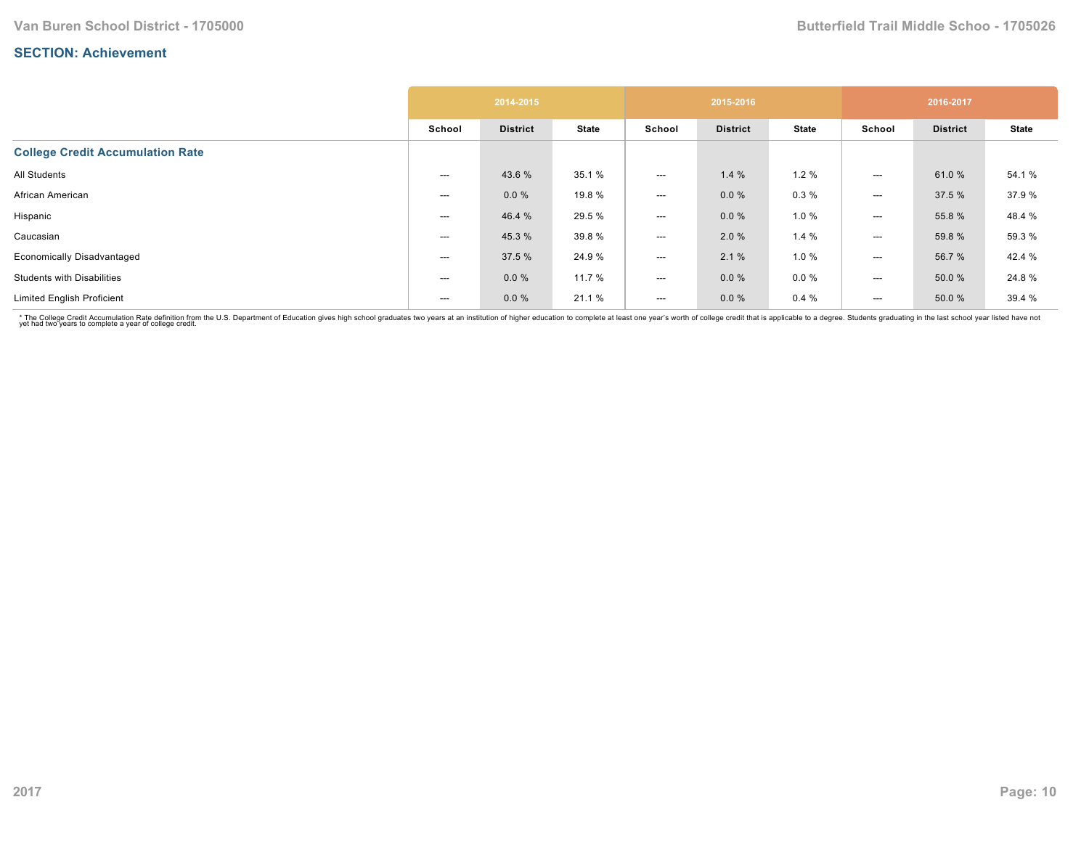|                                         |        | 2014-2015       |              |        | 2015-2016       |              |        | 2016-2017       |              |
|-----------------------------------------|--------|-----------------|--------------|--------|-----------------|--------------|--------|-----------------|--------------|
|                                         | School | <b>District</b> | <b>State</b> | School | <b>District</b> | <b>State</b> | School | <b>District</b> | <b>State</b> |
| <b>College Credit Accumulation Rate</b> |        |                 |              |        |                 |              |        |                 |              |
| All Students                            | ---    | 43.6 %          | 35.1 %       | ---    | 1.4%            | 1.2%         | ---    | 61.0%           | 54.1 %       |
| African American                        | $---$  | 0.0%            | 19.8 %       | ---    | $0.0 \%$        | 0.3%         | ---    | 37.5 %          | 37.9%        |
| Hispanic                                | ---    | 46.4 %          | 29.5 %       | ---    | 0.0%            | 1.0%         | ---    | 55.8 %          | 48.4 %       |
| Caucasian                               | ---    | 45.3 %          | 39.8 %       | ---    | 2.0 %           | 1.4%         | $---$  | 59.8 %          | 59.3 %       |
| <b>Economically Disadvantaged</b>       | ---    | 37.5 %          | 24.9%        | ---    | 2.1%            | 1.0%         | ---    | 56.7 %          | 42.4 %       |
| <b>Students with Disabilities</b>       | ---    | 0.0 %           | 11.7 %       | ---    | $0.0 \%$        | $0.0 \%$     | $---$  | 50.0 %          | 24.8%        |
| <b>Limited English Proficient</b>       | $---$  | 0.0 %           | 21.1 %       | ---    | $0.0 \%$        | 0.4%         | $---$  | 50.0 %          | 39.4 %       |

\* The College Credit Accumulation Rate definition from the U.S. Department of Education gives high school graduates two years at an institution of higher education to complete at least one year's worth of college credit th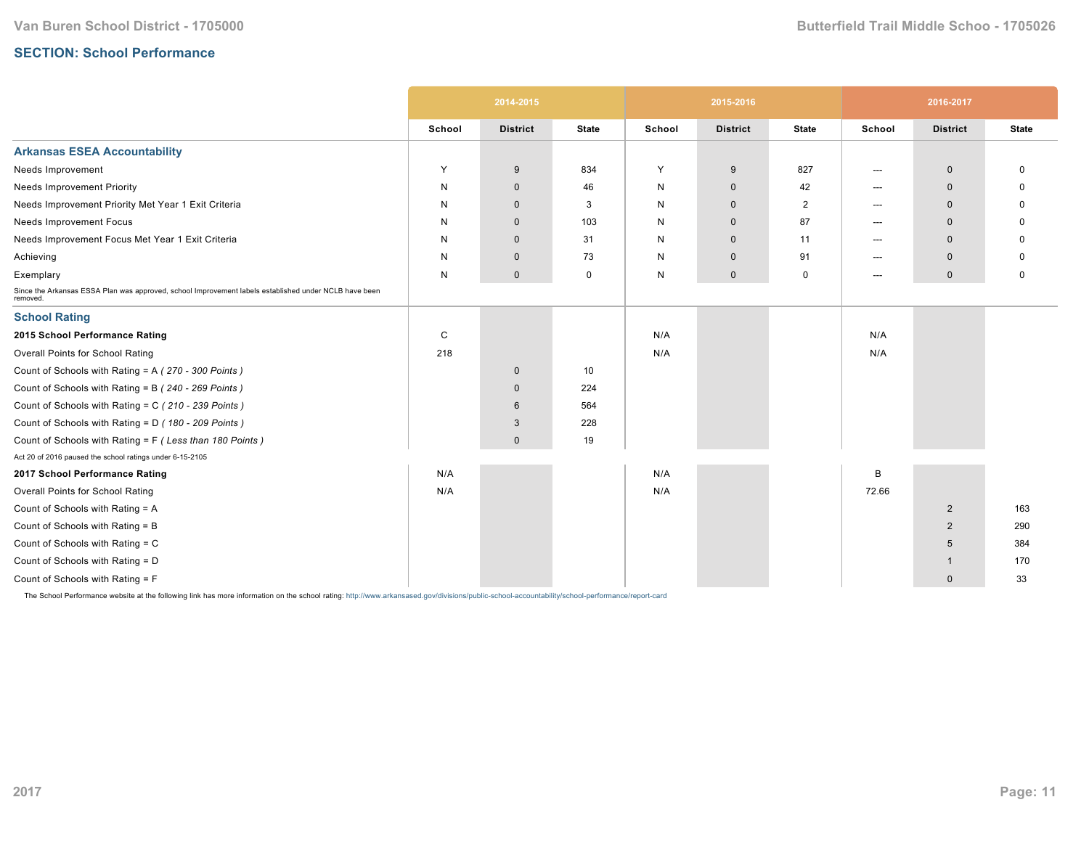# **SECTION: School Performance**

|                                                                                                                   |        | 2014-2015       |              |        | 2015-2016       |              |        | 2016-2017       |              |
|-------------------------------------------------------------------------------------------------------------------|--------|-----------------|--------------|--------|-----------------|--------------|--------|-----------------|--------------|
|                                                                                                                   | School | <b>District</b> | <b>State</b> | School | <b>District</b> | <b>State</b> | School | <b>District</b> | <b>State</b> |
| <b>Arkansas ESEA Accountability</b>                                                                               |        |                 |              |        |                 |              |        |                 |              |
| Needs Improvement                                                                                                 | Y      | 9               | 834          | Y      | 9               | 827          | ---    | $\mathbf 0$     | O            |
| <b>Needs Improvement Priority</b>                                                                                 | N      | $\mathbf{0}$    | 46           | N      | $\mathbf 0$     | 42           | $---$  | $\mathbf{0}$    |              |
| Needs Improvement Priority Met Year 1 Exit Criteria                                                               | N      | $\mathbf 0$     | 3            | N      | $\mathbf{0}$    | 2            | ---    | $\mathbf{0}$    |              |
| Needs Improvement Focus                                                                                           | N      | $\mathbf 0$     | 103          | N      | $\mathbf 0$     | 87           | $---$  | $\mathbf 0$     |              |
| Needs Improvement Focus Met Year 1 Exit Criteria                                                                  | N      | $\mathbf 0$     | 31           | N      | $\mathbf{0}$    | 11           | $---$  | $\mathbf{0}$    |              |
| Achieving                                                                                                         | N      | $\mathbf 0$     | 73           | N      | $\mathbf 0$     | 91           | $---$  | $\Omega$        | 0            |
| Exemplary                                                                                                         | N      | $\mathbf 0$     | $\mathbf 0$  | N      | $\mathbf 0$     | 0            | $---$  | $\mathbf 0$     | 0            |
| Since the Arkansas ESSA Plan was approved, school Improvement labels established under NCLB have been<br>removed. |        |                 |              |        |                 |              |        |                 |              |
| <b>School Rating</b>                                                                                              |        |                 |              |        |                 |              |        |                 |              |
| 2015 School Performance Rating                                                                                    | C      |                 |              | N/A    |                 |              | N/A    |                 |              |
| Overall Points for School Rating                                                                                  | 218    |                 |              | N/A    |                 |              | N/A    |                 |              |
| Count of Schools with Rating = A (270 - 300 Points)                                                               |        | $\mathbf 0$     | 10           |        |                 |              |        |                 |              |
| Count of Schools with Rating = B (240 - 269 Points)                                                               |        | $\mathbf 0$     | 224          |        |                 |              |        |                 |              |
| Count of Schools with Rating = C (210 - 239 Points)                                                               |        | 6               | 564          |        |                 |              |        |                 |              |
| Count of Schools with Rating = D (180 - 209 Points)                                                               |        | 3               | 228          |        |                 |              |        |                 |              |
| Count of Schools with Rating = F (Less than 180 Points)                                                           |        | $\mathbf 0$     | 19           |        |                 |              |        |                 |              |
| Act 20 of 2016 paused the school ratings under 6-15-2105                                                          |        |                 |              |        |                 |              |        |                 |              |
| 2017 School Performance Rating                                                                                    | N/A    |                 |              | N/A    |                 |              | B      |                 |              |
| Overall Points for School Rating                                                                                  | N/A    |                 |              | N/A    |                 |              | 72.66  |                 |              |
| Count of Schools with Rating = A                                                                                  |        |                 |              |        |                 |              |        | $\overline{2}$  | 163          |
| Count of Schools with Rating = B                                                                                  |        |                 |              |        |                 |              |        | 2               | 290          |
| Count of Schools with Rating = C                                                                                  |        |                 |              |        |                 |              |        | 5               | 384          |
| Count of Schools with Rating = D                                                                                  |        |                 |              |        |                 |              |        | -1              | 170          |
| Count of Schools with Rating = F                                                                                  |        |                 |              |        |                 |              |        | $\mathbf{0}$    | 33           |

The School Performance website at the following link has more information on the school rating: http://www.arkansased.gov/divisions/public-school-accountability/school-performance/report-card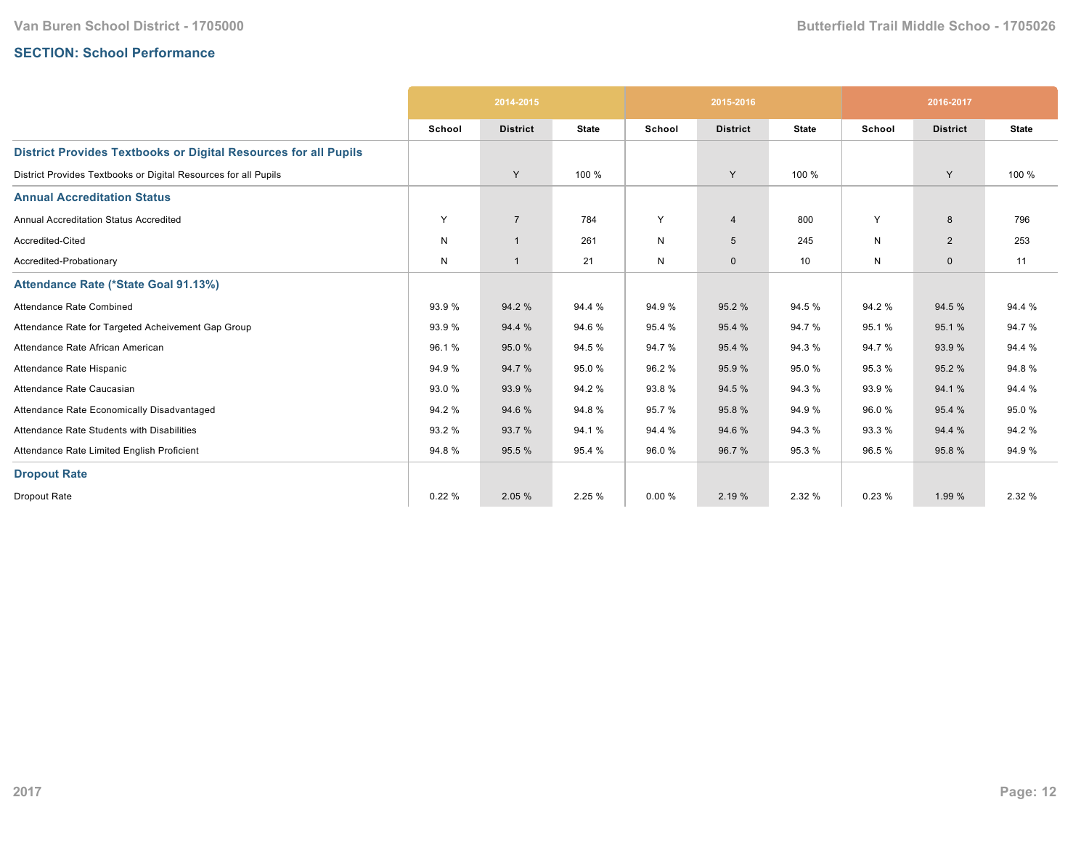# **SECTION: School Performance**

|                                                                        | 2014-2015 |                 |              | 2015-2016    |                 |              | 2016-2017 |                 |              |
|------------------------------------------------------------------------|-----------|-----------------|--------------|--------------|-----------------|--------------|-----------|-----------------|--------------|
|                                                                        | School    | <b>District</b> | <b>State</b> | School       | <b>District</b> | <b>State</b> | School    | <b>District</b> | <b>State</b> |
| <b>District Provides Textbooks or Digital Resources for all Pupils</b> |           |                 |              |              |                 |              |           |                 |              |
| District Provides Textbooks or Digital Resources for all Pupils        |           | Y               | 100 %        |              | Y               | 100 %        |           | Y               | 100 %        |
| <b>Annual Accreditation Status</b>                                     |           |                 |              |              |                 |              |           |                 |              |
| Annual Accreditation Status Accredited                                 | Y         | $\overline{7}$  | 784          | Y            | $\overline{4}$  | 800          | Y         | 8               | 796          |
| Accredited-Cited                                                       | N         | $\overline{1}$  | 261          | $\mathsf{N}$ | $5\phantom{.0}$ | 245          | N         | $\overline{2}$  | 253          |
| Accredited-Probationary                                                | N         | $\overline{1}$  | 21           | $\mathsf{N}$ | $\mathbf 0$     | 10           | N         | $\mathbf{0}$    | 11           |
| Attendance Rate (*State Goal 91.13%)                                   |           |                 |              |              |                 |              |           |                 |              |
| Attendance Rate Combined                                               | 93.9%     | 94.2 %          | 94.4 %       | 94.9%        | 95.2 %          | 94.5 %       | 94.2%     | 94.5 %          | 94.4 %       |
| Attendance Rate for Targeted Acheivement Gap Group                     | 93.9%     | 94.4 %          | 94.6%        | 95.4 %       | 95.4 %          | 94.7%        | 95.1%     | 95.1 %          | 94.7%        |
| Attendance Rate African American                                       | 96.1%     | 95.0%           | 94.5 %       | 94.7%        | 95.4 %          | 94.3 %       | 94.7%     | 93.9%           | 94.4 %       |
| Attendance Rate Hispanic                                               | 94.9%     | 94.7%           | 95.0%        | 96.2%        | 95.9%           | 95.0%        | 95.3%     | 95.2 %          | 94.8%        |
| Attendance Rate Caucasian                                              | 93.0%     | 93.9 %          | 94.2%        | 93.8%        | 94.5 %          | 94.3 %       | 93.9%     | 94.1%           | 94.4 %       |
| Attendance Rate Economically Disadvantaged                             | 94.2%     | 94.6 %          | 94.8%        | 95.7 %       | 95.8%           | 94.9%        | 96.0%     | 95.4 %          | 95.0%        |
| Attendance Rate Students with Disabilities                             | 93.2 %    | 93.7 %          | 94.1 %       | 94.4 %       | 94.6 %          | 94.3 %       | 93.3%     | 94.4 %          | 94.2 %       |
| Attendance Rate Limited English Proficient                             | 94.8%     | 95.5 %          | 95.4 %       | 96.0%        | 96.7%           | 95.3%        | 96.5%     | 95.8%           | 94.9%        |
| <b>Dropout Rate</b>                                                    |           |                 |              |              |                 |              |           |                 |              |
| Dropout Rate                                                           | 0.22%     | 2.05 %          | 2.25 %       | 0.00%        | 2.19 %          | 2.32 %       | 0.23%     | 1.99 %          | 2.32 %       |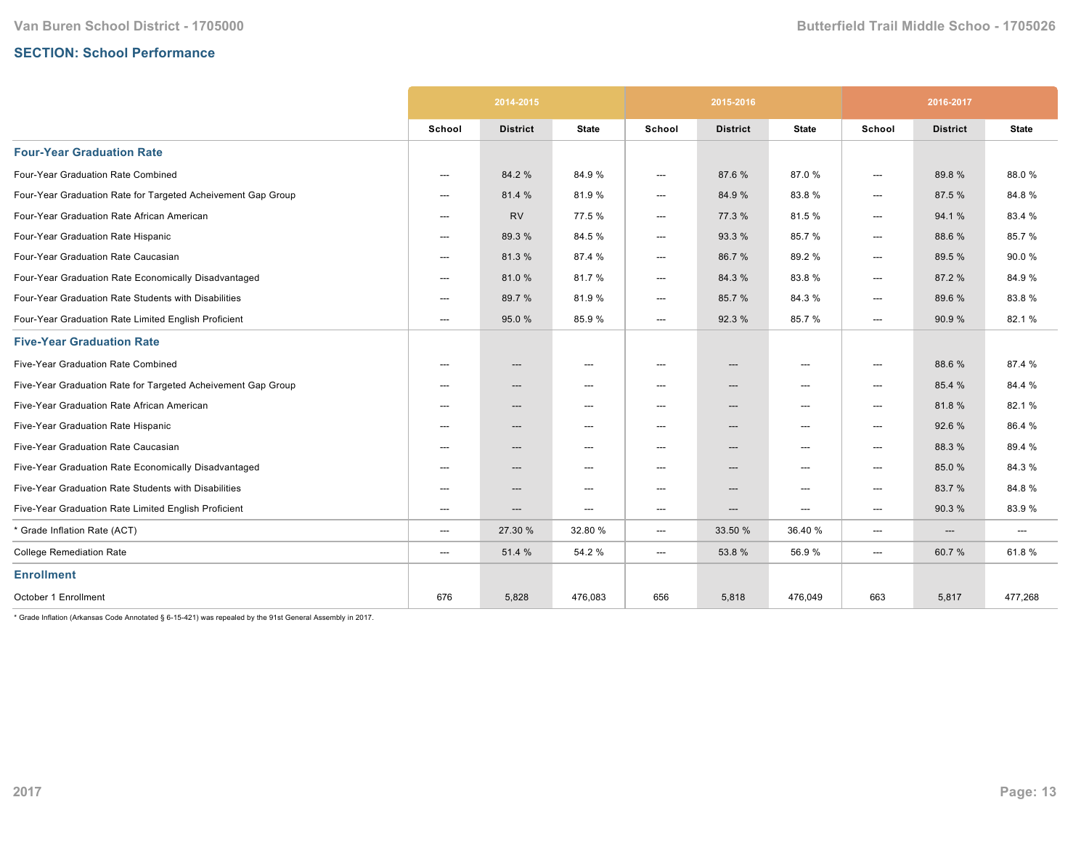# **SECTION: School Performance**

|                                                              | 2014-2015                |                 |                          |                          | 2015-2016       |                          | 2016-2017              |                 |                          |
|--------------------------------------------------------------|--------------------------|-----------------|--------------------------|--------------------------|-----------------|--------------------------|------------------------|-----------------|--------------------------|
|                                                              | School                   | <b>District</b> | <b>State</b>             | School                   | <b>District</b> | <b>State</b>             | School                 | <b>District</b> | <b>State</b>             |
| <b>Four-Year Graduation Rate</b>                             |                          |                 |                          |                          |                 |                          |                        |                 |                          |
| Four-Year Graduation Rate Combined                           | $\hspace{0.05cm} \ldots$ | 84.2 %          | 84.9%                    | ---                      | 87.6%           | 87.0%                    | $\qquad \qquad \cdots$ | 89.8%           | 88.0%                    |
| Four-Year Graduation Rate for Targeted Acheivement Gap Group | $---$                    | 81.4 %          | 81.9%                    | ---                      | 84.9 %          | 83.8%                    | ---                    | 87.5 %          | 84.8%                    |
| Four-Year Graduation Rate African American                   | $---$                    | <b>RV</b>       | 77.5 %                   | $\hspace{0.05cm} \ldots$ | 77.3 %          | 81.5%                    | ---                    | 94.1%           | 83.4 %                   |
| Four-Year Graduation Rate Hispanic                           | ---                      | 89.3 %          | 84.5 %                   | ---                      | 93.3 %          | 85.7%                    | ---                    | 88.6%           | 85.7%                    |
| Four-Year Graduation Rate Caucasian                          | $---$                    | 81.3%           | 87.4 %                   | ---                      | 86.7%           | 89.2%                    | ---                    | 89.5 %          | 90.0%                    |
| Four-Year Graduation Rate Economically Disadvantaged         | $---$                    | 81.0%           | 81.7%                    | ---                      | 84.3%           | 83.8%                    | ---                    | 87.2 %          | 84.9%                    |
| Four-Year Graduation Rate Students with Disabilities         | ---                      | 89.7 %          | 81.9%                    | ---                      | 85.7%           | 84.3%                    | ---                    | 89.6 %          | 83.8%                    |
| Four-Year Graduation Rate Limited English Proficient         | $---$                    | 95.0 %          | 85.9%                    | ---                      | 92.3 %          | 85.7%                    | ---                    | 90.9%           | 82.1%                    |
| <b>Five-Year Graduation Rate</b>                             |                          |                 |                          |                          |                 |                          |                        |                 |                          |
| Five-Year Graduation Rate Combined                           | ---                      | ---             | $---$                    | ---                      | ---             | $---$                    | ---                    | 88.6%           | 87.4 %                   |
| Five-Year Graduation Rate for Targeted Acheivement Gap Group | ---                      | ---             | ---                      | ---                      | ---             | $\hspace{0.05cm} \cdots$ | ---                    | 85.4 %          | 84.4 %                   |
| Five-Year Graduation Rate African American                   | ---                      | ---             | $---$                    | $---$                    | ---             | $---$                    | ---                    | 81.8%           | 82.1%                    |
| Five-Year Graduation Rate Hispanic                           | $---$                    | $---$           | $---$                    | $---$                    | ---             | $---$                    | ---                    | 92.6%           | 86.4%                    |
| Five-Year Graduation Rate Caucasian                          | $---$                    | $---$           | $---$                    | $---$                    | ---             | $---$                    | ---                    | 88.3%           | 89.4 %                   |
| Five-Year Graduation Rate Economically Disadvantaged         | $---$                    | ---             | $---$                    | $\hspace{0.05cm} \ldots$ | ---             | $---$                    | ---                    | 85.0%           | 84.3%                    |
| Five-Year Graduation Rate Students with Disabilities         | $---$                    | ---             | $---$                    | $---$                    | ---             | $---$                    | ---                    | 83.7 %          | 84.8%                    |
| Five-Year Graduation Rate Limited English Proficient         | $---$                    | $---$           | $\hspace{0.05cm} \ldots$ | $---$                    | ---             | $---$                    | ---                    | 90.3%           | 83.9%                    |
| * Grade Inflation Rate (ACT)                                 | $\hspace{0.05cm} \ldots$ | 27.30 %         | 32.80 %                  | ---                      | 33.50 %         | 36.40 %                  | ---                    | ---             | $\hspace{0.05cm} \ldots$ |
| <b>College Remediation Rate</b>                              | $\hspace{0.05cm} \ldots$ | 51.4 %          | 54.2 %                   | ---                      | 53.8%           | 56.9%                    | $\qquad \qquad \cdots$ | 60.7%           | 61.8%                    |
| <b>Enrollment</b>                                            |                          |                 |                          |                          |                 |                          |                        |                 |                          |
| October 1 Enrollment                                         | 676                      | 5,828           | 476,083                  | 656                      | 5,818           | 476,049                  | 663                    | 5,817           | 477,268                  |

 $*$  Grade Inflation (Arkansas Code Annotated § 6-15-421) was repealed by the 91st General Assembly in 2017.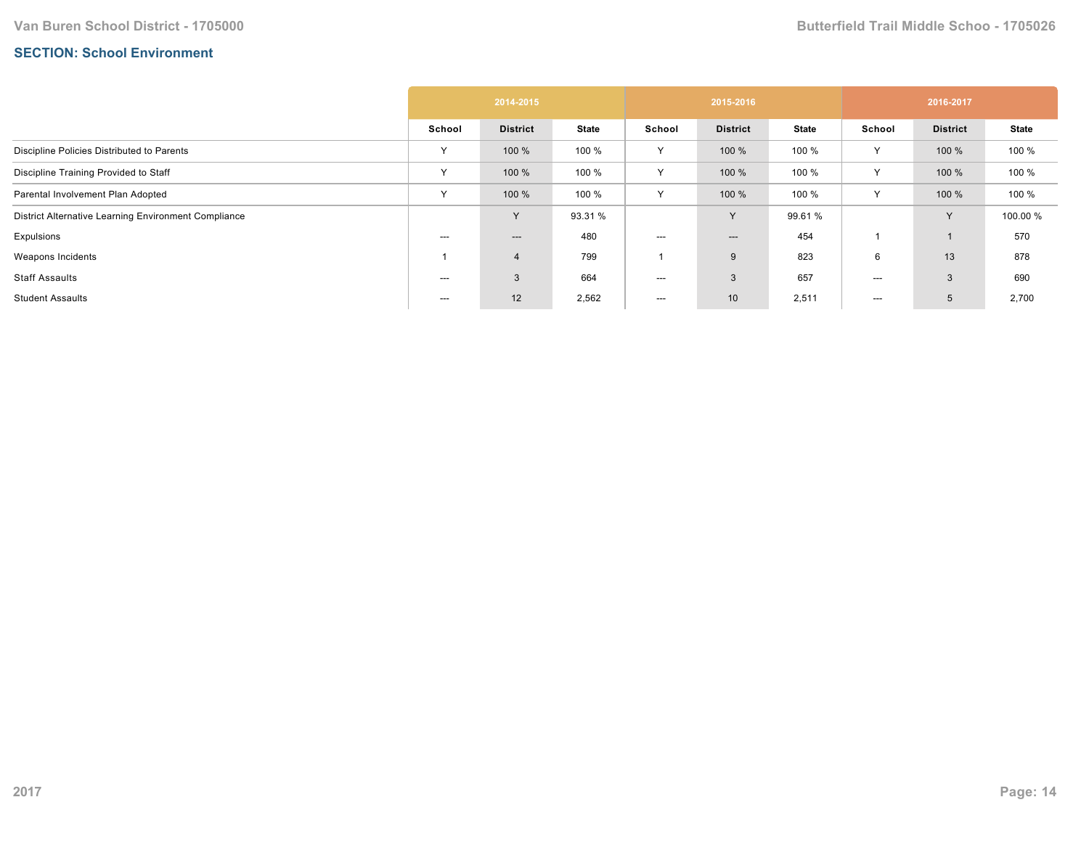# **SECTION: School Environment**

|                                                      | 2014-2015    |                 |              | 2015-2016    |                 |              | 2016-2017    |                 |              |
|------------------------------------------------------|--------------|-----------------|--------------|--------------|-----------------|--------------|--------------|-----------------|--------------|
|                                                      | School       | <b>District</b> | <b>State</b> | School       | <b>District</b> | <b>State</b> | School       | <b>District</b> | <b>State</b> |
| Discipline Policies Distributed to Parents           | Υ            | 100 %           | 100 %        | Y            | 100 %           | 100 %        | $\checkmark$ | 100 %           | 100 %        |
| Discipline Training Provided to Staff                | $\checkmark$ | 100 %           | 100 %        | $\checkmark$ | 100 %           | 100 %        | $\checkmark$ | 100 %           | 100 %        |
| Parental Involvement Plan Adopted                    | $\vee$       | 100 %           | 100 %        | $\vee$       | 100 %           | 100 %        | $\checkmark$ | 100 %           | 100 %        |
| District Alternative Learning Environment Compliance |              | <b>V</b>        | 93.31 %      |              | Y               | 99.61 %      |              | Y               | 100.00 %     |
| Expulsions                                           | $---$        | ---             | 480          | $---$        | $---$           | 454          |              |                 | 570          |
| Weapons Incidents                                    |              | $\overline{4}$  | 799          |              | 9               | 823          | 6            | 13              | 878          |
| <b>Staff Assaults</b>                                | ---          | 3               | 664          | $---$        | $\mathbf{3}$    | 657          | ---          | 3               | 690          |
| <b>Student Assaults</b>                              | ---          | 12              | 2,562        | $--$         | 10 <sup>1</sup> | 2,511        | ---          | 5               | 2,700        |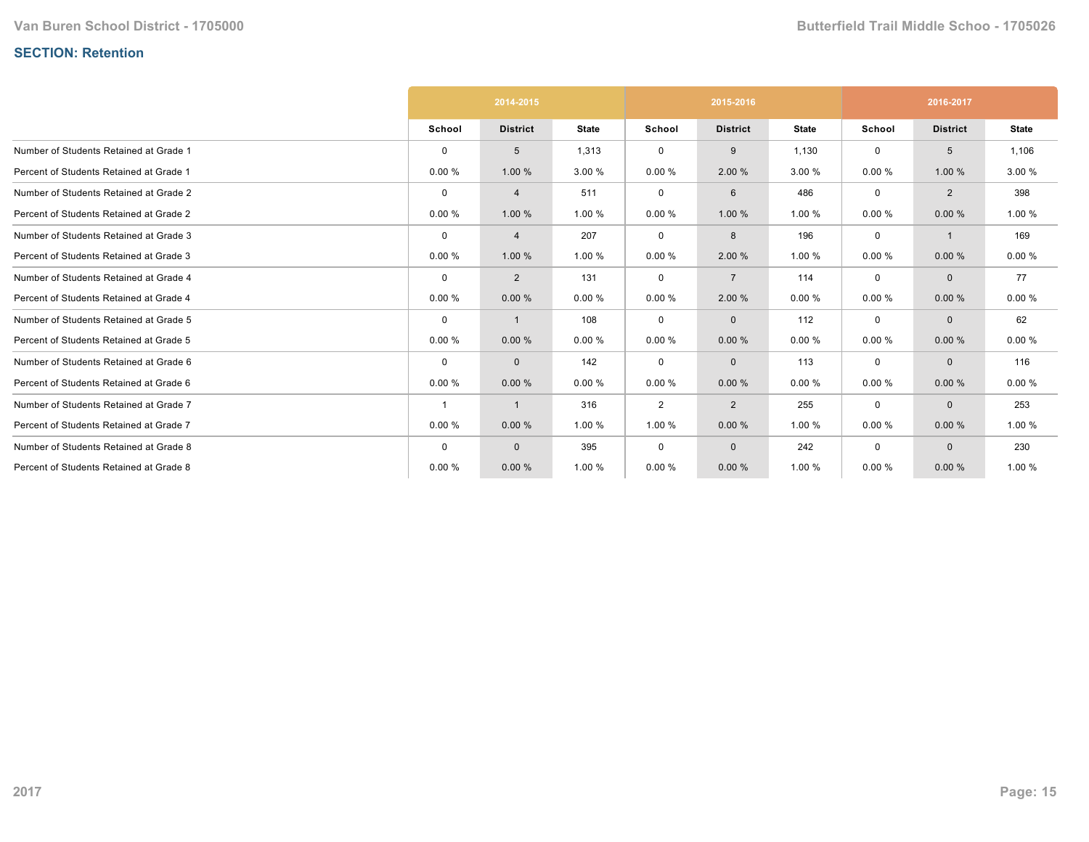# **SECTION: Retention**

|                                         | 2014-2015      |                 |              |                | 2015-2016       |              | 2016-2017   |                 |              |
|-----------------------------------------|----------------|-----------------|--------------|----------------|-----------------|--------------|-------------|-----------------|--------------|
|                                         | School         | <b>District</b> | <b>State</b> | School         | <b>District</b> | <b>State</b> | School      | <b>District</b> | <b>State</b> |
| Number of Students Retained at Grade 1  | $\Omega$       | 5               | 1,313        | $\mathbf 0$    | 9               | 1,130        | 0           | 5               | 1,106        |
| Percent of Students Retained at Grade 1 | 0.00%          | 1.00 %          | 3.00 %       | 0.00%          | 2.00 %          | 3.00 %       | 0.00%       | 1.00 %          | 3.00 %       |
| Number of Students Retained at Grade 2  | $\Omega$       | $\overline{4}$  | 511          | 0              | 6               | 486          | 0           | 2               | 398          |
| Percent of Students Retained at Grade 2 | 0.00%          | 1.00 %          | 1.00 %       | 0.00%          | 1.00 %          | 1.00 %       | 0.00%       | 0.00%           | 1.00 %       |
| Number of Students Retained at Grade 3  | $\Omega$       | 4               | 207          | $\mathbf 0$    | 8               | 196          | $\mathbf 0$ | 1               | 169          |
| Percent of Students Retained at Grade 3 | 0.00%          | 1.00 %          | 1.00 %       | 0.00%          | 2.00 %          | 1.00 %       | 0.00%       | 0.00%           | 0.00%        |
| Number of Students Retained at Grade 4  | $\mathbf 0$    | $\overline{2}$  | 131          | 0              | $\overline{7}$  | 114          | $\mathbf 0$ | $\mathbf{0}$    | 77           |
| Percent of Students Retained at Grade 4 | 0.00%          | 0.00%           | 0.00%        | 0.00%          | 2.00 %          | 0.00%        | 0.00%       | 0.00%           | 0.00%        |
| Number of Students Retained at Grade 5  | $\mathbf 0$    |                 | 108          | 0              | $\mathbf{0}$    | 112          | $\mathbf 0$ | $\mathbf{0}$    | 62           |
| Percent of Students Retained at Grade 5 | 0.00%          | 0.00%           | 0.00%        | 0.00%          | 0.00%           | 0.00%        | 0.00%       | 0.00%           | 0.00%        |
| Number of Students Retained at Grade 6  | $\mathbf 0$    | $\mathbf 0$     | 142          | 0              | $\mathbf{0}$    | 113          | $\mathbf 0$ | $\mathbf{0}$    | 116          |
| Percent of Students Retained at Grade 6 | 0.00%          | 0.00%           | 0.00%        | 0.00%          | 0.00%           | 0.00%        | 0.00%       | 0.00%           | 0.00%        |
| Number of Students Retained at Grade 7  | $\overline{1}$ | -1              | 316          | $\overline{2}$ | $\overline{2}$  | 255          | 0           | $\mathbf 0$     | 253          |
| Percent of Students Retained at Grade 7 | 0.00%          | 0.00%           | 1.00 %       | 1.00 %         | 0.00%           | 1.00 %       | 0.00%       | 0.00%           | 1.00 %       |
| Number of Students Retained at Grade 8  | $\mathbf 0$    | $\mathbf{0}$    | 395          | 0              | $\mathbf{0}$    | 242          | $\mathbf 0$ | $\mathbf{0}$    | 230          |
| Percent of Students Retained at Grade 8 | 0.00%          | 0.00%           | 1.00 %       | 0.00%          | 0.00%           | 1.00 %       | 0.00%       | 0.00%           | 1.00 %       |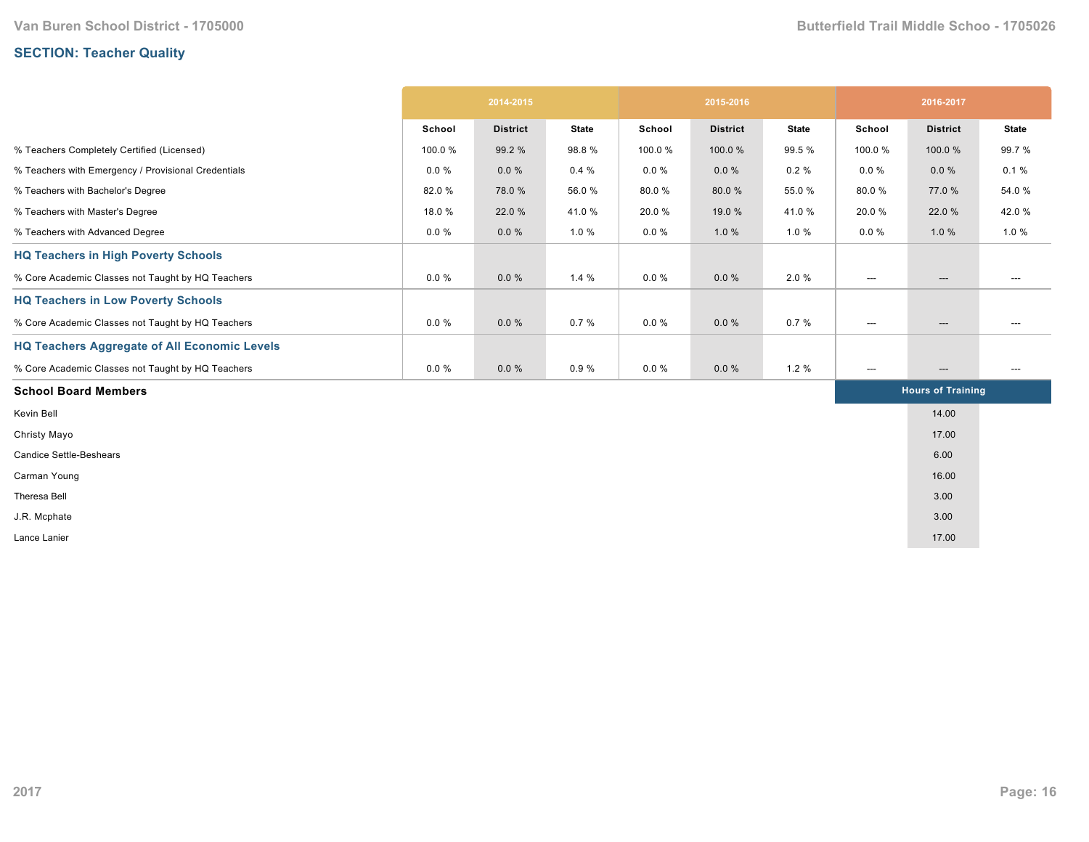# **SECTION: Teacher Quality**

|                                                     | 2014-2015 |                 |              |          | 2015-2016       |              | 2016-2017                |                          |              |  |
|-----------------------------------------------------|-----------|-----------------|--------------|----------|-----------------|--------------|--------------------------|--------------------------|--------------|--|
|                                                     | School    | <b>District</b> | <b>State</b> | School   | <b>District</b> | <b>State</b> | School                   | <b>District</b>          | <b>State</b> |  |
| % Teachers Completely Certified (Licensed)          | 100.0%    | 99.2 %          | 98.8%        | 100.0%   | 100.0%          | 99.5 %       | 100.0%                   | 100.0%                   | 99.7%        |  |
| % Teachers with Emergency / Provisional Credentials | $0.0 \%$  | $0.0 \%$        | 0.4%         | $0.0 \%$ | $0.0 \%$        | $0.2 \%$     | $0.0 \%$                 | $0.0 \%$                 | 0.1%         |  |
| % Teachers with Bachelor's Degree                   | 82.0%     | 78.0%           | 56.0%        | 80.0%    | 80.0%           | 55.0 %       | 80.0%                    | 77.0 %                   | 54.0 %       |  |
| % Teachers with Master's Degree                     | 18.0%     | 22.0 %          | 41.0%        | 20.0%    | 19.0 %          | 41.0%        | 20.0%                    | 22.0 %                   | 42.0%        |  |
| % Teachers with Advanced Degree                     | $0.0 \%$  | $0.0 \%$        | 1.0%         | $0.0 \%$ | 1.0%            | 1.0%         | $0.0 \%$                 | 1.0%                     | 1.0%         |  |
| <b>HQ Teachers in High Poverty Schools</b>          |           |                 |              |          |                 |              |                          |                          |              |  |
| % Core Academic Classes not Taught by HQ Teachers   | $0.0 \%$  | $0.0 \%$        | 1.4%         | $0.0 \%$ | $0.0 \%$        | 2.0%         | ---                      | $\hspace{0.05cm} \ldots$ | ---          |  |
| <b>HQ Teachers in Low Poverty Schools</b>           |           |                 |              |          |                 |              |                          |                          |              |  |
| % Core Academic Classes not Taught by HQ Teachers   | $0.0 \%$  | $0.0 \%$        | 0.7%         | $0.0 \%$ | $0.0 \%$        | 0.7%         | $\hspace{0.05cm} \ldots$ | $\hspace{0.05cm} \ldots$ | ---          |  |
| <b>HQ Teachers Aggregate of All Economic Levels</b> |           |                 |              |          |                 |              |                          |                          |              |  |
| % Core Academic Classes not Taught by HQ Teachers   | $0.0 \%$  | 0.0%            | 0.9%         | $0.0 \%$ | $0.0 \%$        | 1.2%         | ---                      | $\hspace{0.05cm} \ldots$ | ---          |  |
| <b>School Board Members</b>                         |           |                 |              |          |                 |              |                          | <b>Hours of Training</b> |              |  |
| Kevin Bell                                          |           |                 |              |          |                 |              |                          | 14.00                    |              |  |
| Christy Mayo                                        |           |                 |              |          |                 |              |                          | 17.00                    |              |  |
| <b>Candice Settle-Beshears</b>                      |           |                 |              |          |                 |              |                          | 6.00                     |              |  |
| Carman Young                                        |           |                 |              |          |                 |              |                          | 16.00                    |              |  |
| Theresa Bell                                        |           |                 |              |          |                 |              |                          | 3.00                     |              |  |
| J.R. Mcphate                                        |           |                 |              |          |                 |              |                          | 3.00                     |              |  |
| Lance Lanier                                        |           |                 |              |          |                 |              |                          | 17.00                    |              |  |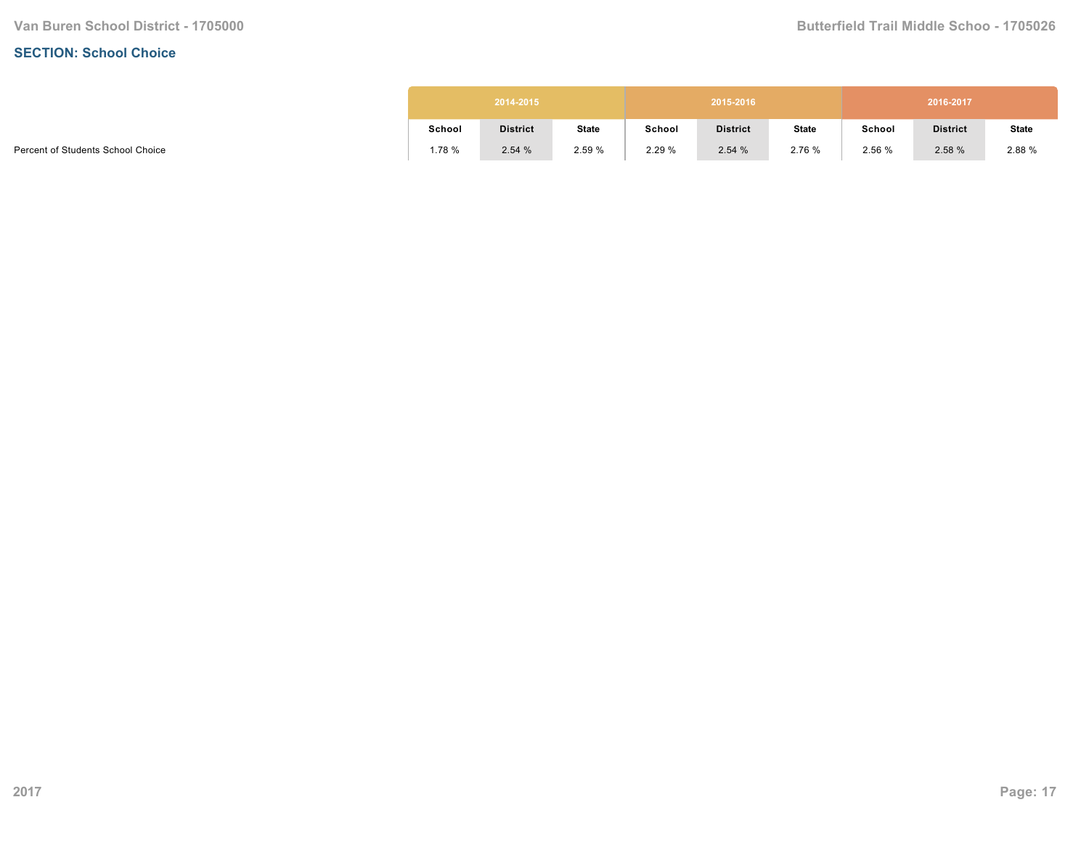#### **SECTION: School Choice**

| 2014-2015 |                 |              |        | 2015-2016       |              | 2016-2017 |                 |              |  |  |
|-----------|-----------------|--------------|--------|-----------------|--------------|-----------|-----------------|--------------|--|--|
| School    | <b>District</b> | <b>State</b> | School | <b>District</b> | <b>State</b> | School    | <b>District</b> | <b>State</b> |  |  |
| 1.78 %    | 2.54%           | 2.59 %       | 2.29%  | 2.54%           | 2.76 %       | 2.56 %    | 2.58 %          | 2.88 %       |  |  |

Percent of Students School Choice